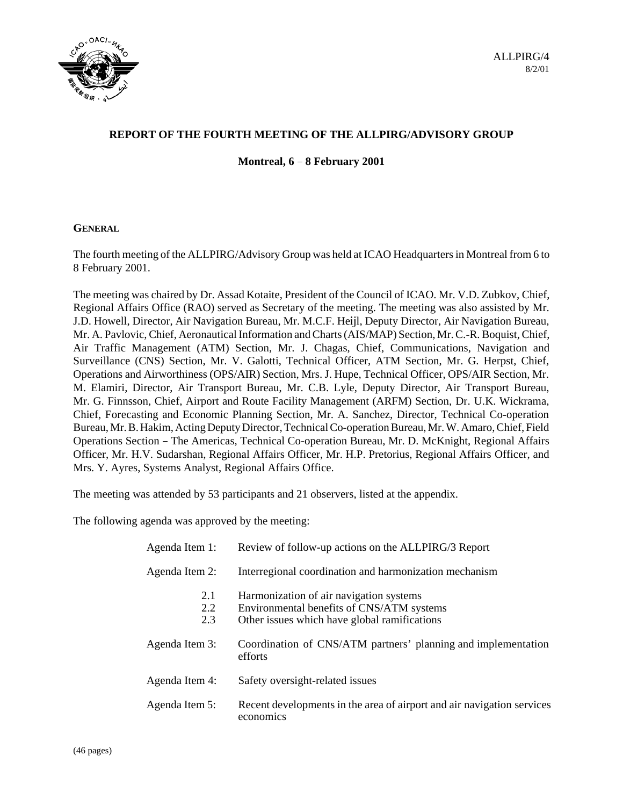

# **REPORT OF THE FOURTH MEETING OF THE ALLPIRG/ADVISORY GROUP Montreal, 6 8 February 2001**

### **GENERAL**

The fourth meeting of the ALLPIRG/Advisory Group was held at ICAO Headquarters in Montreal from 6 to 8 February 2001.

The meeting was chaired by Dr. Assad Kotaite, President of the Council of ICAO. Mr. V.D. Zubkov, Chief, Regional Affairs Office (RAO) served as Secretary of the meeting. The meeting was also assisted by Mr. J.D. Howell, Director, Air Navigation Bureau, Mr. M.C.F. Heijl, Deputy Director, Air Navigation Bureau, Mr. A. Pavlovic, Chief, Aeronautical Information and Charts (AIS/MAP) Section, Mr. C.-R. Boquist, Chief, Air Traffic Management (ATM) Section, Mr. J. Chagas, Chief, Communications, Navigation and Surveillance (CNS) Section, Mr. V. Galotti, Technical Officer, ATM Section, Mr. G. Herpst, Chief, Operations and Airworthiness (OPS/AIR) Section, Mrs. J. Hupe, Technical Officer, OPS/AIR Section, Mr. M. Elamiri, Director, Air Transport Bureau, Mr. C.B. Lyle, Deputy Director, Air Transport Bureau, Mr. G. Finnsson, Chief, Airport and Route Facility Management (ARFM) Section, Dr. U.K. Wickrama, MI. G. Finnsson, Chief, Aliport and Route Fachity Management (ARFM) Section, Dr. O.R. Wickland,<br>Chief, Forecasting and Economic Planning Section, Mr. A. Sanchez, Director, Technical Co-operation<br>Bureau, Mr. B. Hakim, Actin Bureau, Mr. B. Hakim, Acting Deputy Director, Technical Co-operation Bureau, Mr. W. Amaro, Chief, Field Officer, Mr. H.V. Sudarshan, Regional Affairs Officer, Mr. H.P. Pretorius, Regional Affairs Officer, and Mrs. Y. Ayres, Systems Analyst, Regional Affairs Office.

The meeting was attended by 53 participants and 21 observers, listed at the appendix.

The following agenda was approved by the meeting:

| Agenda Item 1:    | Review of follow-up actions on the ALLPIRG/3 Report                                                                                  |
|-------------------|--------------------------------------------------------------------------------------------------------------------------------------|
| Agenda Item 2:    | Interregional coordination and harmonization mechanism                                                                               |
| 2.1<br>2.2<br>2.3 | Harmonization of air navigation systems<br>Environmental benefits of CNS/ATM systems<br>Other issues which have global ramifications |
| Agenda Item 3:    | Coordination of CNS/ATM partners' planning and implementation<br>efforts                                                             |
| Agenda Item 4:    | Safety oversight-related issues                                                                                                      |
| Agenda Item 5:    | Recent developments in the area of airport and air navigation services<br>economics                                                  |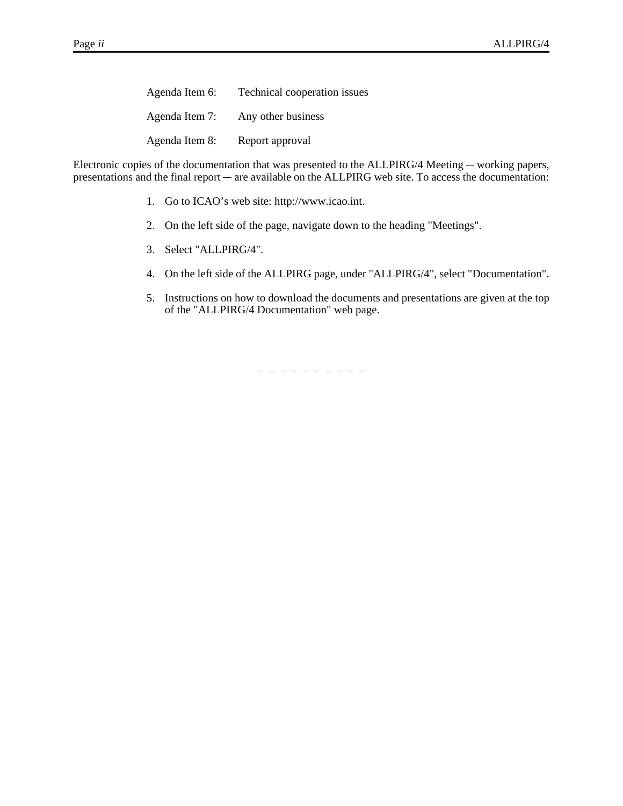| Agenda Item 6: | Technical cooperation issues |
|----------------|------------------------------|
| Agenda Item 7: | Any other business           |
| Agenda Item 8: | Report approval              |

Agenda Item 8: Report approval<br>Electronic copies of the documentation that was presented to the ALLPIRG/4 Meeting — working papers, Agenda Item 8: Report approval<br>Electronic copies of the documentation that was presented to the ALLPIRG/4 Meeting — working papers,<br>presentations and the final report — are available on the ALLPIRG web site. To access the

- 1. Go to ICAO's web site: http://www.icao.int.
- 2. On the left side of the page, navigate down to the heading "Meetings".
- 3. Select "ALLPIRG/4".
- 4. On the left side of the ALLPIRG page, under "ALLPIRG/4", select "Documentation".
- 5. Instructions on how to download the documents and presentations are given at the top of the "ALLPIRG/4 Documentation" web page.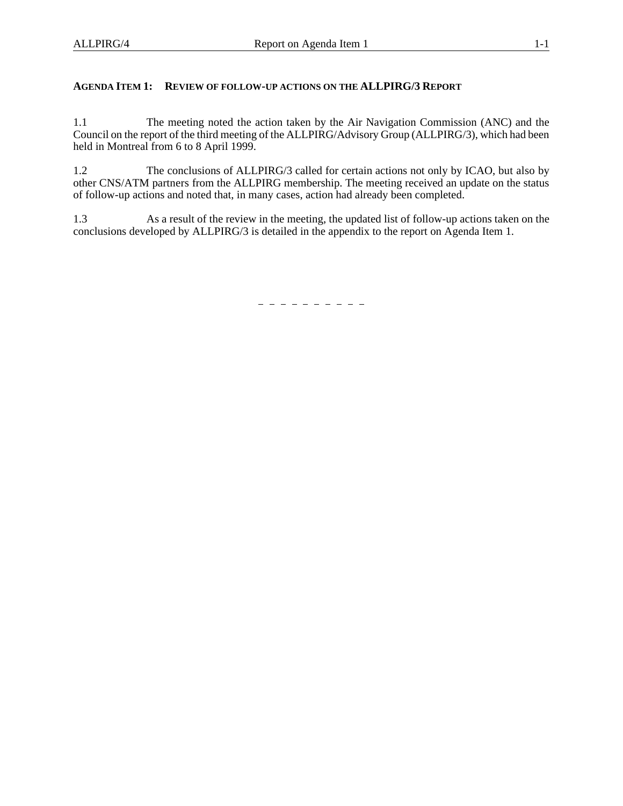### **AGENDA ITEM 1: REVIEW OF FOLLOW-UP ACTIONS ON THE ALLPIRG/3 REPORT**

1.1 The meeting noted the action taken by the Air Navigation Commission (ANC) and the Council on the report of the third meeting of the ALLPIRG/Advisory Group (ALLPIRG/3), which had been held in Montreal from 6 to 8 April 1999.

1.2 The conclusions of ALLPIRG/3 called for certain actions not only by ICAO, but also by other CNS/ATM partners from the ALLPIRG membership. The meeting received an update on the status of follow-up actions and noted that, in many cases, action had already been completed.

1.3 As a result of the review in the meeting, the updated list of follow-up actions taken on the conclusions developed by ALLPIRG/3 is detailed in the appendix to the report on Agenda Item 1.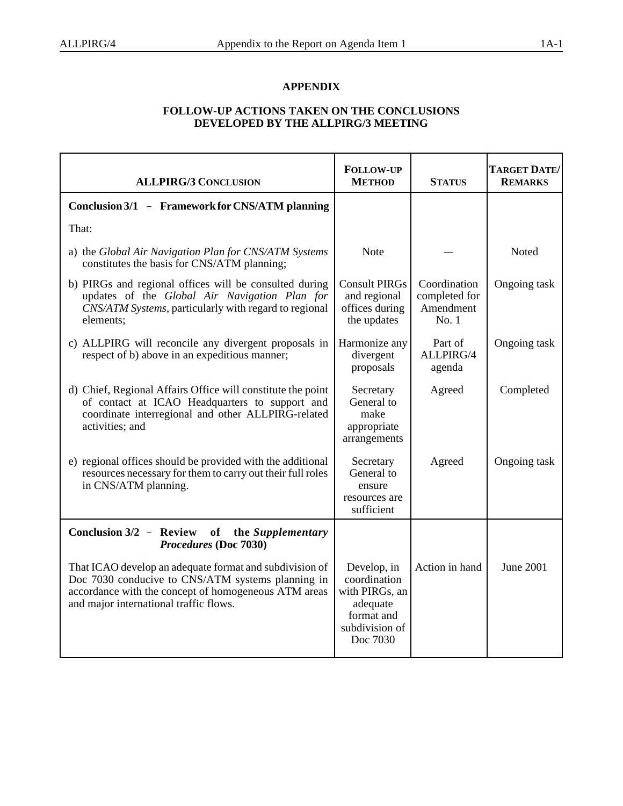### **APPENDIX**

### **FOLLOW-UP ACTIONS TAKEN ON THE CONCLUSIONS DEVELOPED BY THE ALLPIRG/3 MEETING**

| <b>ALLPIRG/3 CONCLUSION</b>                                                                                                                                                                                    | <b>FOLLOW-UP</b><br><b>METHOD</b>                                                                     | <b>STATUS</b>                                      | TARGET DATE/<br><b>REMARKS</b> |
|----------------------------------------------------------------------------------------------------------------------------------------------------------------------------------------------------------------|-------------------------------------------------------------------------------------------------------|----------------------------------------------------|--------------------------------|
| Conclusion 3/1 - Framework for CNS/ATM planning                                                                                                                                                                |                                                                                                       |                                                    |                                |
| That:                                                                                                                                                                                                          |                                                                                                       |                                                    |                                |
| a) the Global Air Navigation Plan for CNS/ATM Systems<br>constitutes the basis for CNS/ATM planning;                                                                                                           | <b>Note</b>                                                                                           |                                                    | Noted                          |
| b) PIRGs and regional offices will be consulted during<br>updates of the Global Air Navigation Plan for<br>CNS/ATM Systems, particularly with regard to regional<br>elements;                                  | <b>Consult PIRGs</b><br>and regional<br>offices during<br>the updates                                 | Coordination<br>completed for<br>Amendment<br>No.1 | Ongoing task                   |
| c) ALLPIRG will reconcile any divergent proposals in<br>respect of b) above in an expeditious manner;                                                                                                          | Harmonize any<br>divergent<br>proposals                                                               | Part of<br>ALLPIRG/4<br>agenda                     | Ongoing task                   |
| d) Chief, Regional Affairs Office will constitute the point<br>of contact at ICAO Headquarters to support and<br>coordinate interregional and other ALLPIRG-related<br>activities; and                         | Secretary<br>General to<br>make<br>appropriate<br>arrangements                                        | Agreed                                             | Completed                      |
| e) regional offices should be provided with the additional<br>resources necessary for them to carry out their full roles<br>in CNS/ATM planning.                                                               | Secretary<br>General to<br>ensure<br>resources are<br>sufficient                                      | Agreed                                             | Ongoing task                   |
| Conclusion 3/2 - Review of the Supplementary<br>Procedures (Doc 7030)                                                                                                                                          |                                                                                                       |                                                    |                                |
| That ICAO develop an adequate format and subdivision of<br>Doc 7030 conducive to CNS/ATM systems planning in<br>accordance with the concept of homogeneous ATM areas<br>and major international traffic flows. | Develop, in<br>coordination<br>with PIRGs, an<br>adequate<br>format and<br>subdivision of<br>Doc 7030 | Action in hand                                     | June 2001                      |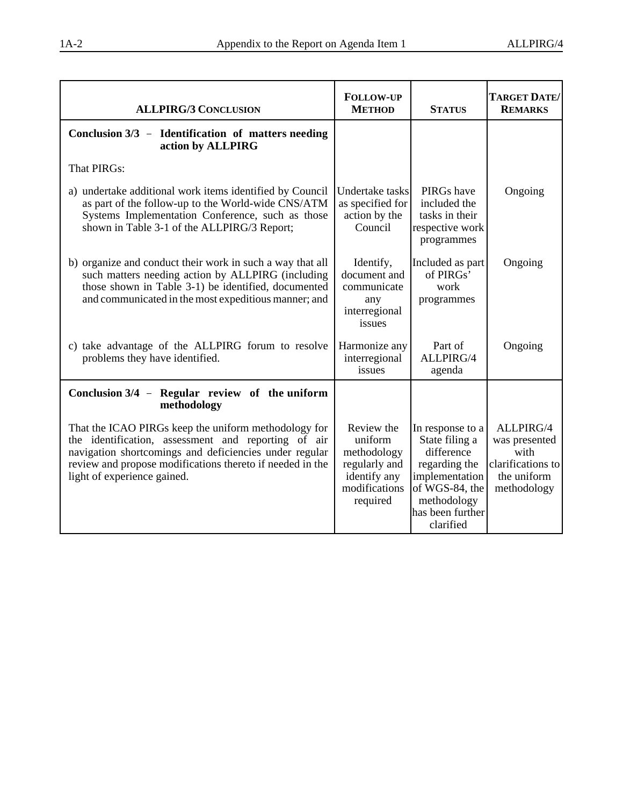| <b>ALLPIRG/3 CONCLUSION</b>                                                                                                                                                                                                                                       | <b>FOLLOW-UP</b><br><b>METHOD</b>                                                                  | <b>STATUS</b>                                                                                                                                         | TARGET DATE/<br><b>REMARKS</b>                                                        |
|-------------------------------------------------------------------------------------------------------------------------------------------------------------------------------------------------------------------------------------------------------------------|----------------------------------------------------------------------------------------------------|-------------------------------------------------------------------------------------------------------------------------------------------------------|---------------------------------------------------------------------------------------|
| Conclusion 3/3 - Identification of matters needing<br>action by ALLPIRG                                                                                                                                                                                           |                                                                                                    |                                                                                                                                                       |                                                                                       |
| <b>That PIRGs:</b>                                                                                                                                                                                                                                                |                                                                                                    |                                                                                                                                                       |                                                                                       |
| a) undertake additional work items identified by Council<br>as part of the follow-up to the World-wide CNS/ATM<br>Systems Implementation Conference, such as those<br>shown in Table 3-1 of the ALLPIRG/3 Report;                                                 | Undertake tasks<br>as specified for<br>action by the<br>Council                                    | PIRGs have<br>included the<br>tasks in their<br>respective work<br>programmes                                                                         | Ongoing                                                                               |
| b) organize and conduct their work in such a way that all<br>such matters needing action by ALLPIRG (including<br>those shown in Table 3-1) be identified, documented<br>and communicated in the most expeditious manner; and                                     | Identify,<br>document and<br>communicate<br>any<br>interregional<br>issues                         | Included as part<br>of $PIRGs^5$<br>work<br>programmes                                                                                                | Ongoing                                                                               |
| c) take advantage of the ALLPIRG forum to resolve<br>problems they have identified.                                                                                                                                                                               | Harmonize any<br>interregional<br>issues                                                           | Part of<br>ALLPIRG/4<br>agenda                                                                                                                        | Ongoing                                                                               |
| Conclusion 3/4 - Regular review of the uniform<br>methodology                                                                                                                                                                                                     |                                                                                                    |                                                                                                                                                       |                                                                                       |
| That the ICAO PIRGs keep the uniform methodology for<br>the identification, assessment and reporting of air<br>navigation shortcomings and deficiencies under regular<br>review and propose modifications thereto if needed in the<br>light of experience gained. | Review the<br>uniform<br>methodology<br>regularly and<br>identify any<br>modifications<br>required | In response to a<br>State filing a<br>difference<br>regarding the<br>implementation<br>of WGS-84, the<br>methodology<br>has been further<br>clarified | ALLPIRG/4<br>was presented<br>with<br>clarifications to<br>the uniform<br>methodology |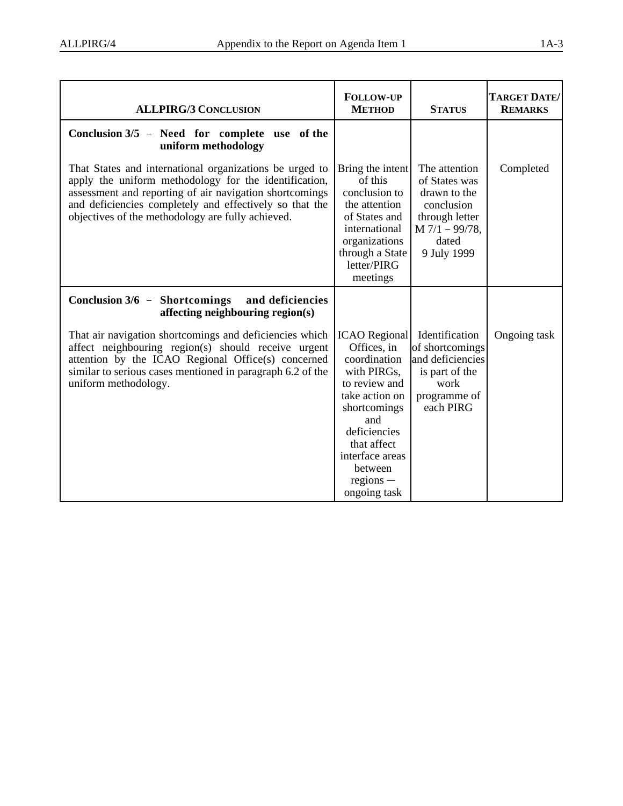| <b>ALLPIRG/3 CONCLUSION</b>                                                                                                                                                                                                                                                                 | <b>FOLLOW-UP</b><br><b>METHOD</b>                                                                                                                                                                                        | <b>STATUS</b>                                                                                                              | TARGET DATE/<br><b>REMARKS</b> |
|---------------------------------------------------------------------------------------------------------------------------------------------------------------------------------------------------------------------------------------------------------------------------------------------|--------------------------------------------------------------------------------------------------------------------------------------------------------------------------------------------------------------------------|----------------------------------------------------------------------------------------------------------------------------|--------------------------------|
| Conclusion 3/5 - Need for complete use of the<br>uniform methodology                                                                                                                                                                                                                        |                                                                                                                                                                                                                          |                                                                                                                            |                                |
| That States and international organizations be urged to<br>apply the uniform methodology for the identification,<br>assessment and reporting of air navigation shortcomings<br>and deficiencies completely and effectively so that the<br>objectives of the methodology are fully achieved. | Bring the intent<br>of this<br>conclusion to<br>the attention<br>of States and<br>international<br>organizations<br>through a State<br>letter/PIRG<br>meetings                                                           | The attention<br>of States was<br>drawn to the<br>conclusion<br>through letter<br>$M$ 7/1 - 99/78,<br>dated<br>9 July 1999 | Completed                      |
| Conclusion $3/6$ – Shortcomings<br>and deficiencies<br>affecting neighbouring region(s)                                                                                                                                                                                                     |                                                                                                                                                                                                                          |                                                                                                                            |                                |
| That air navigation shortcomings and deficiencies which<br>affect neighbouring region(s) should receive urgent<br>attention by the ICAO Regional Office(s) concerned<br>similar to serious cases mentioned in paragraph 6.2 of the<br>uniform methodology.                                  | <b>ICAO</b> Regional<br>Offices, in<br>coordination<br>with PIRGs,<br>to review and<br>take action on<br>shortcomings<br>and<br>deficiencies<br>that affect<br>interface areas<br>between<br>$regions -$<br>ongoing task | Identification<br>of shortcomings<br>and deficiencies<br>is part of the<br>work<br>programme of<br>each PIRG               | Ongoing task                   |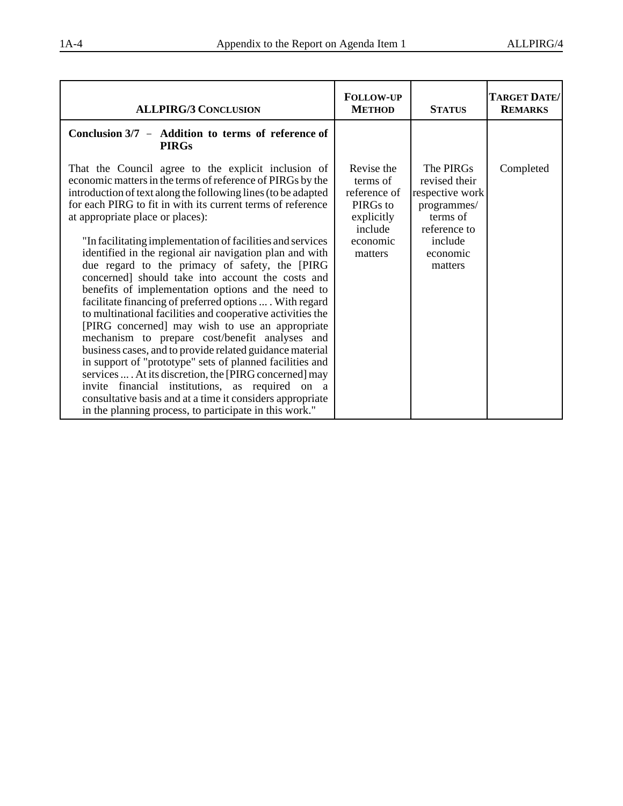| <b>ALLPIRG/3 CONCLUSION</b>                                                                                                                                                                                                                                                                                                                                                                                                                                                                                                                                                                                                                                                                                                                                                                                                                                                                                                                                                                                                                                                                                                                                           | <b>FOLLOW-UP</b><br><b>METHOD</b>                                                                  | <b>STATUS</b>                                                                                                              | TARGET DATE/<br><b>REMARKS</b> |
|-----------------------------------------------------------------------------------------------------------------------------------------------------------------------------------------------------------------------------------------------------------------------------------------------------------------------------------------------------------------------------------------------------------------------------------------------------------------------------------------------------------------------------------------------------------------------------------------------------------------------------------------------------------------------------------------------------------------------------------------------------------------------------------------------------------------------------------------------------------------------------------------------------------------------------------------------------------------------------------------------------------------------------------------------------------------------------------------------------------------------------------------------------------------------|----------------------------------------------------------------------------------------------------|----------------------------------------------------------------------------------------------------------------------------|--------------------------------|
| Conclusion 3/7 - Addition to terms of reference of<br><b>PIRGs</b>                                                                                                                                                                                                                                                                                                                                                                                                                                                                                                                                                                                                                                                                                                                                                                                                                                                                                                                                                                                                                                                                                                    |                                                                                                    |                                                                                                                            |                                |
| That the Council agree to the explicit inclusion of<br>economic matters in the terms of reference of PIRGs by the<br>introduction of text along the following lines (to be adapted<br>for each PIRG to fit in with its current terms of reference<br>at appropriate place or places):<br>"In facilitating implementation of facilities and services<br>identified in the regional air navigation plan and with<br>due regard to the primacy of safety, the [PIRG<br>concerned] should take into account the costs and<br>benefits of implementation options and the need to<br>facilitate financing of preferred options  With regard<br>to multinational facilities and cooperative activities the<br>[PIRG concerned] may wish to use an appropriate<br>mechanism to prepare cost/benefit analyses and<br>business cases, and to provide related guidance material<br>in support of "prototype" sets of planned facilities and<br>services  . At its discretion, the [PIRG concerned] may<br>invite financial institutions, as required on a<br>consultative basis and at a time it considers appropriate<br>in the planning process, to participate in this work." | Revise the<br>terms of<br>reference of<br>PIRGs to<br>explicitly<br>include<br>economic<br>matters | The PIRGs<br>revised their<br>respective work<br>programmes/<br>terms of<br>reference to<br>include<br>economic<br>matters | Completed                      |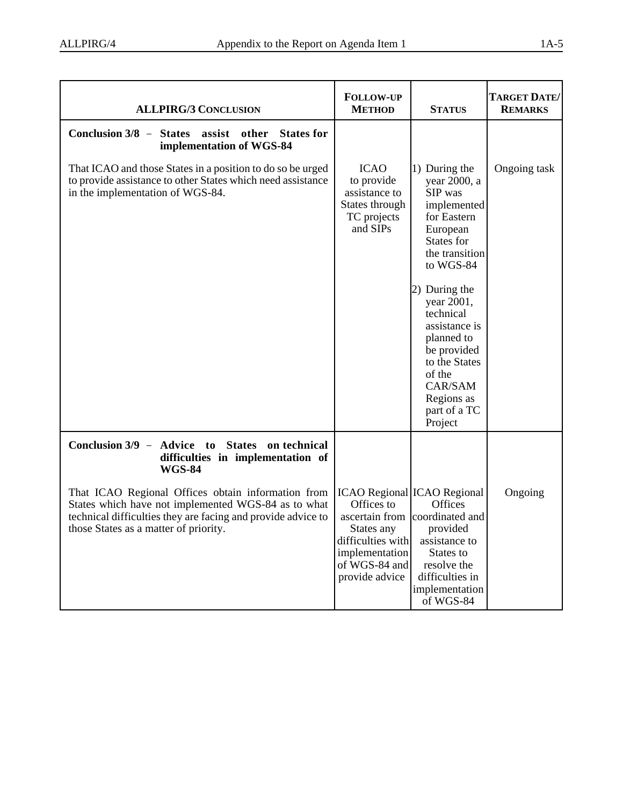| <b>ALLPIRG/3 CONCLUSION</b>                                                                                                                                                                                        | <b>FOLLOW-UP</b><br><b>METHOD</b>                                                                                                        | <b>STATUS</b>                                                                                                                                                                                                                                                                                            | TARGET DATE/<br><b>REMARKS</b> |
|--------------------------------------------------------------------------------------------------------------------------------------------------------------------------------------------------------------------|------------------------------------------------------------------------------------------------------------------------------------------|----------------------------------------------------------------------------------------------------------------------------------------------------------------------------------------------------------------------------------------------------------------------------------------------------------|--------------------------------|
| Conclusion 3/8 - States assist other States for<br>implementation of WGS-84                                                                                                                                        |                                                                                                                                          |                                                                                                                                                                                                                                                                                                          |                                |
| That ICAO and those States in a position to do so be urged<br>to provide assistance to other States which need assistance<br>in the implementation of WGS-84.                                                      | <b>ICAO</b><br>to provide<br>assistance to<br>States through<br>TC projects<br>and SIPs                                                  | 1) During the<br>year 2000, a<br>SIP was<br>implemented<br>for Eastern<br>European<br>States for<br>the transition<br>to WGS-84<br>2) During the<br>year 2001,<br>technical<br>assistance is<br>planned to<br>be provided<br>to the States<br>of the<br>CAR/SAM<br>Regions as<br>part of a TC<br>Project | Ongoing task                   |
| Conclusion 3/9 - Advice to<br><b>States</b><br>on technical<br>difficulties in implementation of<br><b>WGS-84</b>                                                                                                  |                                                                                                                                          |                                                                                                                                                                                                                                                                                                          |                                |
| That ICAO Regional Offices obtain information from<br>States which have not implemented WGS-84 as to what<br>technical difficulties they are facing and provide advice to<br>those States as a matter of priority. | <b>ICAO Regional ICAO Regional</b><br>Offices to<br>States any<br>difficulties with<br>implementation<br>of WGS-84 and<br>provide advice | Offices<br>ascertain from coordinated and<br>provided<br>assistance to<br>States to<br>resolve the<br>difficulties in<br>implementation<br>of WGS-84                                                                                                                                                     | Ongoing                        |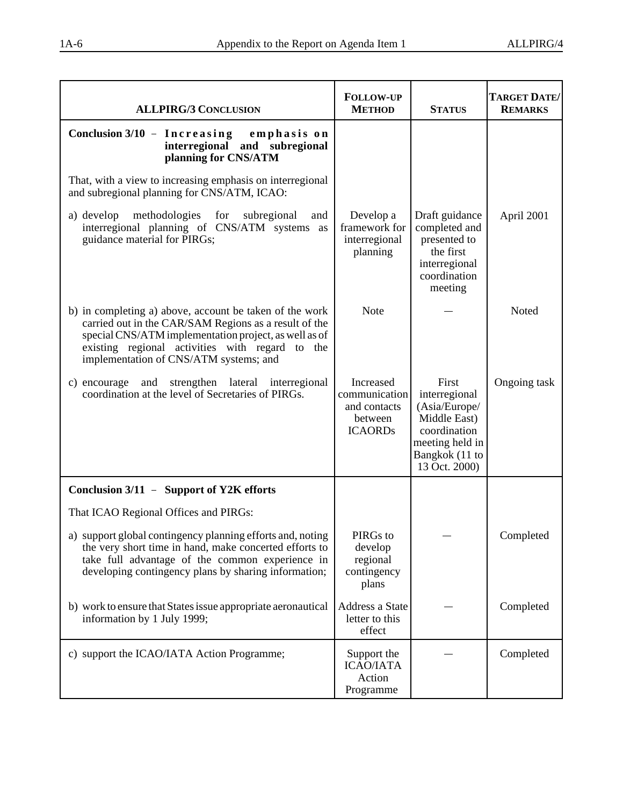| <b>ALLPIRG/3 CONCLUSION</b>                                                                                                                                                                                                                                            | <b>FOLLOW-UP</b><br><b>METHOD</b>                                       | <b>STATUS</b>                                                                                                                 | TARGET DATE/<br><b>REMARKS</b> |
|------------------------------------------------------------------------------------------------------------------------------------------------------------------------------------------------------------------------------------------------------------------------|-------------------------------------------------------------------------|-------------------------------------------------------------------------------------------------------------------------------|--------------------------------|
| Conclusion 3/10 - Increasing emphasis on<br>interregional and subregional<br>planning for CNS/ATM                                                                                                                                                                      |                                                                         |                                                                                                                               |                                |
| That, with a view to increasing emphasis on interregional<br>and subregional planning for CNS/ATM, ICAO:                                                                                                                                                               |                                                                         |                                                                                                                               |                                |
| methodologies<br>a) develop<br>for<br>subregional<br>and<br>interregional planning of CNS/ATM systems as<br>guidance material for PIRGs;                                                                                                                               | Develop a<br>framework for<br>interregional<br>planning                 | Draft guidance<br>completed and<br>presented to<br>the first<br>interregional<br>coordination<br>meeting                      | April 2001                     |
| b) in completing a) above, account be taken of the work<br>carried out in the CAR/SAM Regions as a result of the<br>special CNS/ATM implementation project, as well as of<br>existing regional activities with regard to the<br>implementation of CNS/ATM systems; and | <b>Note</b>                                                             |                                                                                                                               | Noted                          |
| strengthen lateral interregional<br>c) encourage<br>and<br>coordination at the level of Secretaries of PIRGs.                                                                                                                                                          | Increased<br>communication<br>and contacts<br>between<br><b>ICAORDs</b> | First<br>interregional<br>(Asia/Europe/<br>Middle East)<br>coordination<br>meeting held in<br>Bangkok (11 to<br>13 Oct. 2000) | Ongoing task                   |
| Conclusion 3/11 - Support of Y2K efforts                                                                                                                                                                                                                               |                                                                         |                                                                                                                               |                                |
| That ICAO Regional Offices and PIRGs:                                                                                                                                                                                                                                  |                                                                         |                                                                                                                               |                                |
| a) support global contingency planning efforts and, noting<br>the very short time in hand, make concerted efforts to<br>take full advantage of the common experience in<br>developing contingency plans by sharing information;                                        | PIRGs to<br>develop<br>regional<br>contingency<br>plans                 |                                                                                                                               | Completed                      |
| b) work to ensure that States issue appropriate aeronautical<br>information by 1 July 1999;                                                                                                                                                                            | Address a State<br>letter to this<br>effect                             |                                                                                                                               | Completed                      |
| c) support the ICAO/IATA Action Programme;                                                                                                                                                                                                                             | Support the<br><b>ICAO/IATA</b><br>Action<br>Programme                  |                                                                                                                               | Completed                      |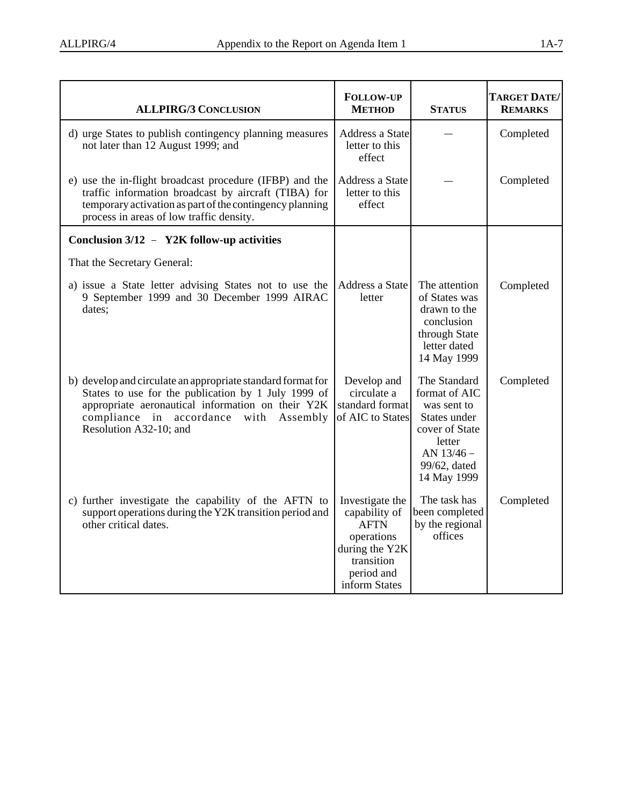| <b>ALLPIRG/3 CONCLUSION</b>                                                                                                                                                                                                                 | <b>FOLLOW-UP</b><br><b>METHOD</b>                                                                                            | <b>STATUS</b>                                                                                                                         | <b>TARGET DATE/</b><br><b>REMARKS</b> |
|---------------------------------------------------------------------------------------------------------------------------------------------------------------------------------------------------------------------------------------------|------------------------------------------------------------------------------------------------------------------------------|---------------------------------------------------------------------------------------------------------------------------------------|---------------------------------------|
| d) urge States to publish contingency planning measures<br>not later than 12 August 1999; and                                                                                                                                               | <b>Address a State</b><br>letter to this<br>effect                                                                           |                                                                                                                                       | Completed                             |
| e) use the in-flight broadcast procedure (IFBP) and the<br>traffic information broadcast by aircraft (TIBA) for<br>temporary activation as part of the contingency planning<br>process in areas of low traffic density.                     | <b>Address a State</b><br>letter to this<br>effect                                                                           |                                                                                                                                       | Completed                             |
| Conclusion 3/12 - Y2K follow-up activities                                                                                                                                                                                                  |                                                                                                                              |                                                                                                                                       |                                       |
| That the Secretary General:                                                                                                                                                                                                                 |                                                                                                                              |                                                                                                                                       |                                       |
| a) issue a State letter advising States not to use the<br>9 September 1999 and 30 December 1999 AIRAC<br>dates;                                                                                                                             | Address a State<br>letter                                                                                                    | The attention<br>of States was<br>drawn to the<br>conclusion<br>through State<br>letter dated<br>14 May 1999                          | Completed                             |
| b) develop and circulate an appropriate standard format for<br>States to use for the publication by 1 July 1999 of<br>appropriate aeronautical information on their Y2K<br>compliance in accordance with Assembly<br>Resolution A32-10; and | Develop and<br>circulate a<br>standard format<br>of AIC to States                                                            | The Standard<br>format of AIC<br>was sent to<br>States under<br>cover of State<br>letter<br>AN 13/46 -<br>99/62, dated<br>14 May 1999 | Completed                             |
| c) further investigate the capability of the AFTN to<br>support operations during the Y2K transition period and<br>other critical dates.                                                                                                    | Investigate the<br>capability of<br><b>AFTN</b><br>operations<br>during the Y2K<br>transition<br>period and<br>inform States | The task has<br>been completed<br>by the regional<br>offices                                                                          | Completed                             |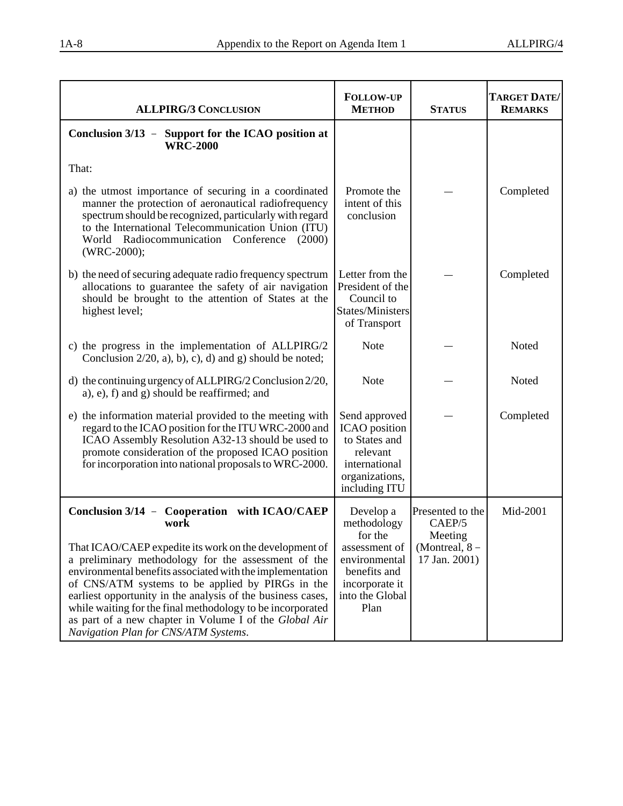| <b>ALLPIRG/3 CONCLUSION</b>                                                                                                                                                                                                                                                                                                                                                                                                                                                                                           | <b>FOLLOW-UP</b><br><b>METHOD</b>                                                                                                  | <b>STATUS</b>                                                            | TARGET DATE/<br><b>REMARKS</b> |
|-----------------------------------------------------------------------------------------------------------------------------------------------------------------------------------------------------------------------------------------------------------------------------------------------------------------------------------------------------------------------------------------------------------------------------------------------------------------------------------------------------------------------|------------------------------------------------------------------------------------------------------------------------------------|--------------------------------------------------------------------------|--------------------------------|
| Conclusion 3/13 - Support for the ICAO position at<br><b>WRC-2000</b>                                                                                                                                                                                                                                                                                                                                                                                                                                                 |                                                                                                                                    |                                                                          |                                |
| That:                                                                                                                                                                                                                                                                                                                                                                                                                                                                                                                 |                                                                                                                                    |                                                                          |                                |
| a) the utmost importance of securing in a coordinated<br>manner the protection of aeronautical radiofrequency<br>spectrum should be recognized, particularly with regard<br>to the International Telecommunication Union (ITU)<br>World Radiocommunication Conference<br>(2000)<br>(WRC-2000);                                                                                                                                                                                                                        | Promote the<br>intent of this<br>conclusion                                                                                        |                                                                          | Completed                      |
| b) the need of securing adequate radio frequency spectrum<br>allocations to guarantee the safety of air navigation<br>should be brought to the attention of States at the<br>highest level;                                                                                                                                                                                                                                                                                                                           | Letter from the<br>President of the<br>Council to<br>States/Ministers<br>of Transport                                              |                                                                          | Completed                      |
| c) the progress in the implementation of ALLPIRG/2<br>Conclusion $2/20$ , a), b), c), d) and g) should be noted;                                                                                                                                                                                                                                                                                                                                                                                                      | <b>Note</b>                                                                                                                        |                                                                          | Noted                          |
| d) the continuing urgency of ALLPIRG/2 Conclusion 2/20,<br>a), e), f) and g) should be reaffirmed; and                                                                                                                                                                                                                                                                                                                                                                                                                | <b>Note</b>                                                                                                                        |                                                                          | Noted                          |
| e) the information material provided to the meeting with<br>regard to the ICAO position for the ITU WRC-2000 and<br>ICAO Assembly Resolution A32-13 should be used to<br>promote consideration of the proposed ICAO position<br>for incorporation into national proposals to WRC-2000.                                                                                                                                                                                                                                | Send approved<br><b>ICAO</b> position<br>to States and<br>relevant<br>international<br>organizations,<br>including ITU             |                                                                          | Completed                      |
| Conclusion 3/14 - Cooperation with ICAO/CAEP<br>work<br>That ICAO/CAEP expedite its work on the development of<br>a preliminary methodology for the assessment of the<br>environmental benefits associated with the implementation<br>of CNS/ATM systems to be applied by PIRGs in the<br>earliest opportunity in the analysis of the business cases,<br>while waiting for the final methodology to be incorporated<br>as part of a new chapter in Volume I of the Global Air<br>Navigation Plan for CNS/ATM Systems. | Develop a<br>methodology<br>for the<br>assessment of<br>environmental<br>benefits and<br>incorporate it<br>into the Global<br>Plan | Presented to the<br>CAEP/5<br>Meeting<br>(Montreal, 8 -<br>17 Jan. 2001) | Mid-2001                       |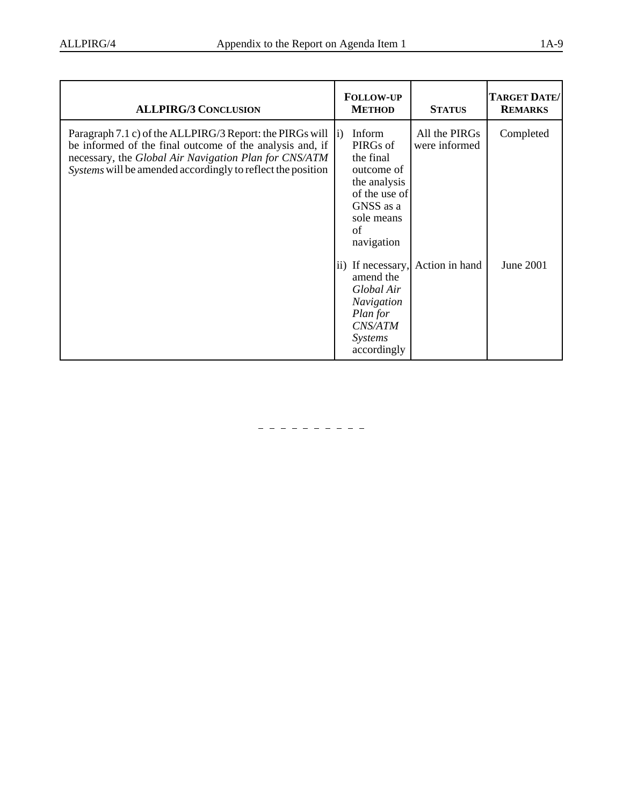| <b>ALLPIRG/3 CONCLUSION</b>                                                                                                                                                                                                                  | <b>FOLLOW-UP</b><br><b>METHOD</b>                                                                                                              | <b>STATUS</b>                  | TARGET DATE/<br><b>REMARKS</b> |
|----------------------------------------------------------------------------------------------------------------------------------------------------------------------------------------------------------------------------------------------|------------------------------------------------------------------------------------------------------------------------------------------------|--------------------------------|--------------------------------|
| Paragraph 7.1 c) of the ALLPIRG/3 Report: the PIRGs will<br>be informed of the final outcome of the analysis and, if<br>necessary, the Global Air Navigation Plan for CNS/ATM<br>Systems will be amended accordingly to reflect the position | Inform<br>$\mathbf{ii}$<br>PIRGs of<br>the final<br>outcome of<br>the analysis<br>of the use of<br>GNSS as a<br>sole means<br>of<br>navigation | All the PIRGs<br>were informed | Completed                      |
|                                                                                                                                                                                                                                              | ii) If necessary,<br>amend the<br>Global Air<br><b>Navigation</b><br>Plan for<br>CNS/ATM<br><b>Systems</b><br>accordingly                      | Action in hand                 | June 2001                      |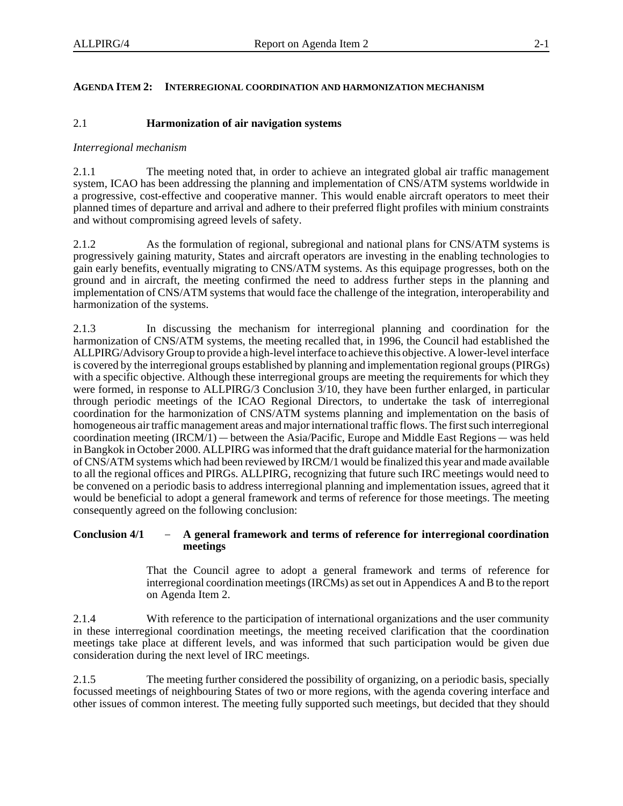### **AGENDA ITEM 2: INTERREGIONAL COORDINATION AND HARMONIZATION MECHANISM**

### 2.1 **Harmonization of air navigation systems**

### *Interregional mechanism*

2.1.1 The meeting noted that, in order to achieve an integrated global air traffic management system, ICAO has been addressing the planning and implementation of CNS/ATM systems worldwide in a progressive, cost-effective and cooperative manner. This would enable aircraft operators to meet their planned times of departure and arrival and adhere to their preferred flight profiles with minium constraints and without compromising agreed levels of safety.

2.1.2 As the formulation of regional, subregional and national plans for CNS/ATM systems is progressively gaining maturity, States and aircraft operators are investing in the enabling technologies to gain early benefits, eventually migrating to CNS/ATM systems. As this equipage progresses, both on the ground and in aircraft, the meeting confirmed the need to address further steps in the planning and implementation of CNS/ATM systems that would face the challenge of the integration, interoperability and harmonization of the systems.

2.1.3 In discussing the mechanism for interregional planning and coordination for the harmonization of CNS/ATM systems, the meeting recalled that, in 1996, the Council had established the ALLPIRG/Advisory Group to provide a high-level interface to achieve this objective. A lower-level interface is covered by the interregional groups established by planning and implementation regional groups (PIRGs) with a specific objective. Although these interregional groups are meeting the requirements for which they were formed, in response to ALLPIRG/3 Conclusion 3/10, they have been further enlarged, in particular through periodic meetings of the ICAO Regional Directors, to undertake the task of interregional coordination for the harmonization of CNS/ATM systems planning and implementation on the basis of homogeneous air traffic management areas and major international traffic flows. The first such interregional through periodic meetings of the ICAO Regional Directors, to undertake the task of intercoordination for the harmonization of CNS/ATM systems planning and implementation on the homogeneous air traffic management areas and coordination meeting  $(IRCM/1)$  — between the Asia/Pacific, Europe and Middle East Regions — was held in Bangkok in October 2000. ALLPIRG was informed that the draft guidance material for the harmonization of CNS/ATM systems which had been reviewed by IRCM/1 would be finalized this year and made available to all the regional offices and PIRGs. ALLPIRG, recognizing that future such IRC meetings would need to be convened on a periodic basis to address interregional planning and implementation issues, agreed that it would be beneficial to adopt a general framework and terms of reference for those meetings. The meeting consequently agreed on the following conclusion:<br>**Conclusion 4/1 - A general framework and terms of reference for in** consequently agreed on the following conclusion:

## **meetings**

That the Council agree to adopt a general framework and terms of reference for interregional coordination meetings (IRCMs) as set out in Appendices A and B to the report on Agenda Item 2.

2.1.4 With reference to the participation of international organizations and the user community in these interregional coordination meetings, the meeting received clarification that the coordination meetings take place at different levels, and was informed that such participation would be given due consideration during the next level of IRC meetings.

2.1.5 The meeting further considered the possibility of organizing, on a periodic basis, specially focussed meetings of neighbouring States of two or more regions, with the agenda covering interface and other issues of common interest. The meeting fully supported such meetings, but decided that they should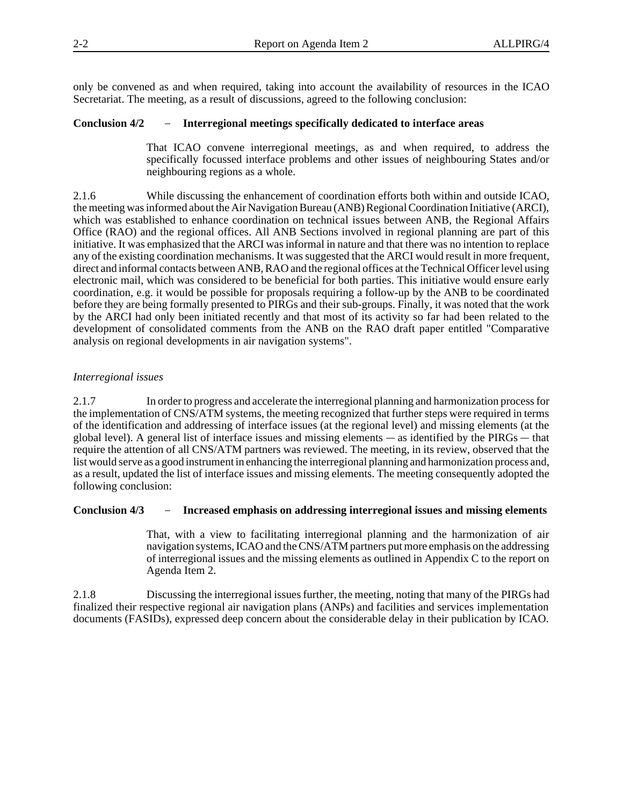only be convened as and when required, taking into account the availability of resources in the ICAO Secretariat. The meeting, as a result of discussions, agreed to the following conclusion: only be convened as and when required, taking into account the availability of resource Secretariat. The meeting, as a result of discussions, agreed to the following conclusion:<br>**Conclusion 4/2** - Interregional meetings sp

That ICAO convene interregional meetings, as and when required, to address the specifically focussed interface problems and other issues of neighbouring States and/or neighbouring regions as a whole.

2.1.6 While discussing the enhancement of coordination efforts both within and outside ICAO, the meeting was informed about the Air Navigation Bureau (ANB) Regional Coordination Initiative (ARCI), which was established to enhance coordination on technical issues between ANB, the Regional Affairs Office (RAO) and the regional offices. All ANB Sections involved in regional planning are part of this initiative. It was emphasized that the ARCI was informal in nature and that there was no intention to replace any of the existing coordination mechanisms. It was suggested that the ARCI would result in more frequent, direct and informal contacts between ANB, RAO and the regional offices at the Technical Officer level using electronic mail, which was considered to be beneficial for both parties. This initiative would ensure early coordination, e.g. it would be possible for proposals requiring a follow-up by the ANB to be coordinated before they are being formally presented to PIRGs and their sub-groups. Finally, it was noted that the work by the ARCI had only been initiated recently and that most of its activity so far had been related to the development of consolidated comments from the ANB on the RAO draft paper entitled "Comparative analysis on regional developments in air navigation systems".

### *Interregional issues*

2.1.7 In order to progress and accelerate the interregional planning and harmonization process for the implementation of CNS/ATM systems, the meeting recognized that further steps were required in terms of the identification and addressing of interface issues (at the regional level) and missing elements (at the 2.1.7 In order to progress and accelerate the interregional planning and harmonization proces<br>the implementation of CNS/ATM systems, the meeting recognized that further steps were required in to<br>of the identification and a global level). A general list of interface issues and missing elements  $-\text{ as identified by the PIRGs} - \text{that}$ require the attention of all CNS/ATM partners was reviewed. The meeting, in its review, observed that the list would serve as a good instrument in enhancing the interregional planning and harmonization process and, as a result, updated the list of interface issues and missing elements. The meeting consequently adopted the following conclusion:<br>**Conclusion 4/3 - Increased emphasis on addressing interregional issues and missing eleme** following conclusion:

That, with a view to facilitating interregional planning and the harmonization of air navigation systems, ICAO and the CNS/ATM partners put more emphasis on the addressing of interregional issues and the missing elements as outlined in Appendix C to the report on Agenda Item 2.

2.1.8 Discussing the interregional issues further, the meeting, noting that many of the PIRGs had finalized their respective regional air navigation plans (ANPs) and facilities and services implementation documents (FASIDs), expressed deep concern about the considerable delay in their publication by ICAO.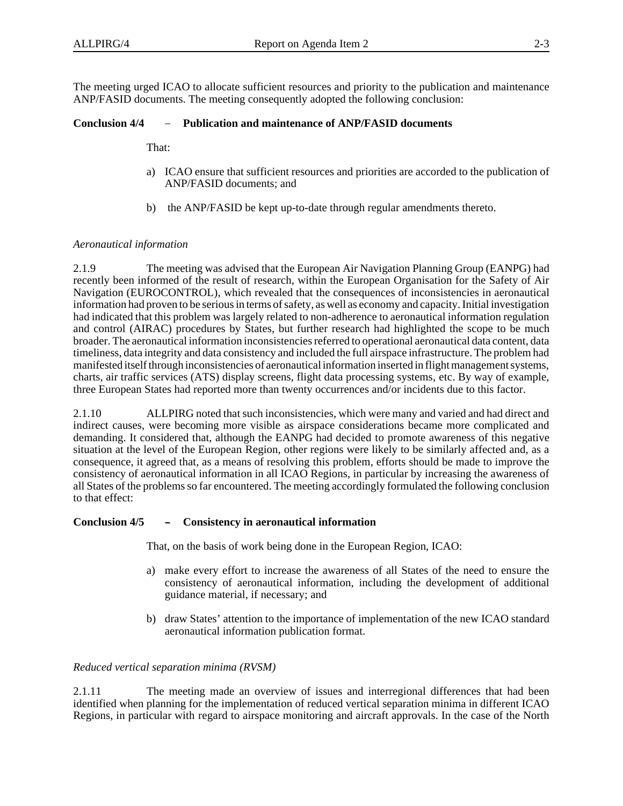The meeting urged ICAO to allocate sufficient resources and priority to the publication and maintenance ANP/FASID documents. The meeting consequently adopted the following conclusion: The meeting urged ICAO to allocate sufficient resources and priority to the publica<br>ANP/FASID documents. The meeting consequently adopted the following conclusion<br>**Conclusion 4/4** – Publication and maintenance of ANP/FASID

That:

- a) ICAO ensure that sufficient resources and priorities are accorded to the publication of ANP/FASID documents; and
- b) the ANP/FASID be kept up-to-date through regular amendments thereto.

### *Aeronautical information*

2.1.9 The meeting was advised that the European Air Navigation Planning Group (EANPG) had recently been informed of the result of research, within the European Organisation for the Safety of Air Navigation (EUROCONTROL), which revealed that the consequences of inconsistencies in aeronautical information had proven to be serious in terms of safety, as well as economy and capacity. Initial investigation had indicated that this problem was largely related to non-adherence to aeronautical information regulation and control (AIRAC) procedures by States, but further research had highlighted the scope to be much broader. The aeronautical information inconsistencies referred to operational aeronautical data content, data timeliness, data integrity and data consistency and included the full airspace infrastructure. The problem had manifested itself through inconsistencies of aeronautical information inserted in flight management systems, charts, air traffic services (ATS) display screens, flight data processing systems, etc. By way of example, three European States had reported more than twenty occurrences and/or incidents due to this factor.

2.1.10 ALLPIRG noted that such inconsistencies, which were many and varied and had direct and indirect causes, were becoming more visible as airspace considerations became more complicated and demanding. It considered that, although the EANPG had decided to promote awareness of this negative situation at the level of the European Region, other regions were likely to be similarly affected and, as a consequence, it agreed that, as a means of resolving this problem, efforts should be made to improve the consistency of aeronautical information in all ICAO Regions, in particular by increasing the awareness of all States of the problems so far encountered. The meeting accordingly formulated the following conclusion **Conclusion 4/5 Consistency in aeronautical information** to that effect:

That, on the basis of work being done in the European Region, ICAO:

- a) make every effort to increase the awareness of all States of the need to ensure the consistency of aeronautical information, including the development of additional guidance material, if necessary; and
- b) draw States' attention to the importance of implementation of the new ICAO standard aeronautical information publication format.

### *Reduced vertical separation minima (RVSM)*

2.1.11 The meeting made an overview of issues and interregional differences that had been identified when planning for the implementation of reduced vertical separation minima in different ICAO Regions, in particular with regard to airspace monitoring and aircraft approvals. In the case of the North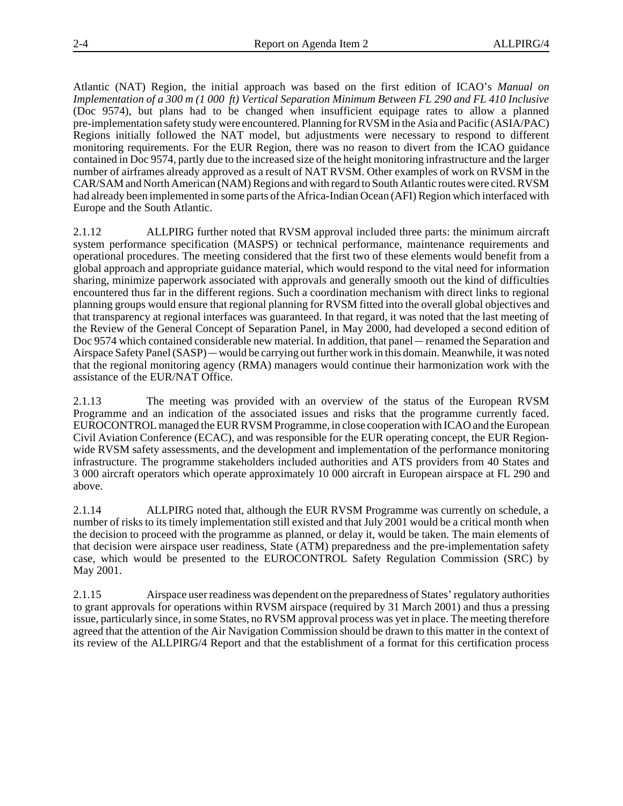Atlantic (NAT) Region, the initial approach was based on the first edition of ICAO's *Manual on Implementation of a 300 m (1 000 ft) Vertical Separation Minimum Between FL 290 and FL 410 Inclusive* (Doc 9574), but plans had to be changed when insufficient equipage rates to allow a planned pre-implementation safety study were encountered. Planning for RVSM in the Asia and Pacific (ASIA/PAC) Regions initially followed the NAT model, but adjustments were necessary to respond to different monitoring requirements. For the EUR Region, there was no reason to divert from the ICAO guidance contained in Doc 9574, partly due to the increased size of the height monitoring infrastructure and the larger number of airframes already approved as a result of NAT RVSM. Other examples of work on RVSM in the CAR/SAM and North American (NAM) Regions and with regard to South Atlantic routes were cited. RVSM had already been implemented in some parts of the Africa-Indian Ocean (AFI) Region which interfaced with Europe and the South Atlantic.

2.1.12 ALLPIRG further noted that RVSM approval included three parts: the minimum aircraft system performance specification (MASPS) or technical performance, maintenance requirements and operational procedures. The meeting considered that the first two of these elements would benefit from a global approach and appropriate guidance material, which would respond to the vital need for information sharing, minimize paperwork associated with approvals and generally smooth out the kind of difficulties encountered thus far in the different regions. Such a coordination mechanism with direct links to regional planning groups would ensure that regional planning for RVSM fitted into the overall global objectives and that transparency at regional interfaces was guaranteed. In that regard, it was noted that the last meeting of the Review of the General Concept of Separation Panel, in May 2000, had developed a second edition of planning groups would ensure that regional planning for RVSM fitted into the c<br>that transparency at regional interfaces was guaranteed. In that regard, it was n<br>the Review of the General Concept of Separation Panel, in May Doc 9574 which contained considerable new material. In addition, that panel — renamed the Separation and that transparency at regional interfaces was guaranteed. In that regard, it was noted that the last meeting of<br>the Review of the General Concept of Separation Panel, in May 2000, had developed a second edition of<br>Doc 9574 that the regional monitoring agency (RMA) managers would continue their harmonization work with the assistance of the EUR/NAT Office.

2.1.13 The meeting was provided with an overview of the status of the European RVSM Programme and an indication of the associated issues and risks that the programme currently faced. EUROCONTROL managed the EUR RVSM Programme, in close cooperation with ICAO and the European Civil Aviation Conference (ECAC), and was responsible for the EUR operating concept, the EUR Regionwide RVSM safety assessments, and the development and implementation of the performance monitoring infrastructure. The programme stakeholders included authorities and ATS providers from 40 States and 3 000 aircraft operators which operate approximately 10 000 aircraft in European airspace at FL 290 and above.

2.1.14 ALLPIRG noted that, although the EUR RVSM Programme was currently on schedule, a number of risks to its timely implementation still existed and that July 2001 would be a critical month when the decision to proceed with the programme as planned, or delay it, would be taken. The main elements of that decision were airspace user readiness, State (ATM) preparedness and the pre-implementation safety case, which would be presented to the EUROCONTROL Safety Regulation Commission (SRC) by May 2001.

2.1.15 Airspace user readiness was dependent on the preparedness of States' regulatory authorities to grant approvals for operations within RVSM airspace (required by 31 March 2001) and thus a pressing issue, particularly since, in some States, no RVSM approval process was yet in place. The meeting therefore agreed that the attention of the Air Navigation Commission should be drawn to this matter in the context of its review of the ALLPIRG/4 Report and that the establishment of a format for this certification process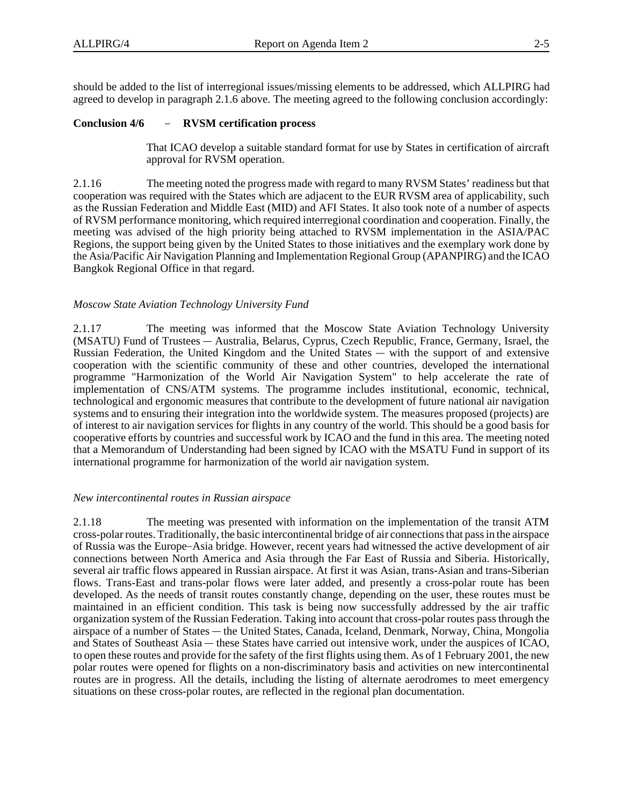should be added to the list of interregional issues/missing elements to be addressed, which ALLPIRG had agreed to develop in paragraph 2.1.6 above. The meeting agreed to the following conclusion accordingly: should be added to the list of interregional issues/miss-<br>agreed to develop in paragraph 2.1.6 above. The meet<br>**Conclusion 4/6** - **RVSM certification process** 

That ICAO develop a suitable standard format for use by States in certification of aircraft approval for RVSM operation.

2.1.16 The meeting noted the progress made with regard to many RVSM States' readiness but that cooperation was required with the States which are adjacent to the EUR RVSM area of applicability, such as the Russian Federation and Middle East (MID) and AFI States. It also took note of a number of aspects of RVSM performance monitoring, which required interregional coordination and cooperation. Finally, the meeting was advised of the high priority being attached to RVSM implementation in the ASIA/PAC Regions, the support being given by the United States to those initiatives and the exemplary work done by the Asia/Pacific Air Navigation Planning and Implementation Regional Group (APANPIRG) and the ICAO Bangkok Regional Office in that regard.

### *Moscow State Aviation Technology University Fund*

2.1.17 The meeting was informed that the Moscow State Aviation Technology University Moscow State Aviation Technology University Fund<br>2.1.17 The meeting was informed that the Moscow State Aviation Technology University<br>(MSATU) Fund of Trustees — Australia, Belarus, Cyprus, Czech Republic, France, Germany, 2.1.17 The meeting was informed that the Moscow Stat (MSATU) Fund of Trustees — Australia, Belarus, Cyprus, Czech Re<br>Russian Federation, the United Kingdom and the United States — Russian Federation, the United Kingdom and the United States — with the support of and extensive cooperation with the scientific community of these and other countries, developed the international programme "Harmonization of the World Air Navigation System" to help accelerate the rate of implementation of CNS/ATM systems. The programme includes institutional, economic, technical, technological and ergonomic measures that contribute to the development of future national air navigation systems and to ensuring their integration into the worldwide system. The measures proposed (projects) are of interest to air navigation services for flights in any country of the world. This should be a good basis for cooperative efforts by countries and successful work by ICAO and the fund in this area. The meeting noted that a Memorandum of Understanding had been signed by ICAO with the MSATU Fund in support of its international programme for harmonization of the world air navigation system.

### *New intercontinental routes in Russian airspace*

2.1.18 The meeting was presented with information on the implementation of the transit ATM cross-polar routes. Traditionally, the basic intercontinental bridge of air connections that pass in the airspace of Russia was the Europe–Asia bridge. However, recent years had witnessed the active development of air connections between North America and Asia through the Far East of Russia and Siberia. Historically, several air traffic flows appeared in Russian airspace. At first it was Asian, trans-Asian and trans-Siberian flows. Trans-East and trans-polar flows were later added, and presently a cross-polar route has been developed. As the needs of transit routes constantly change, depending on the user, these routes must be maintained in an efficient condition. This task is being now successfully addressed by the air traffic organization system of the Russian Federation. Taking into account that cross-polar routes pass through the developed. As the needs of trans<br>maintained in an efficient cond<br>organization system of the Russia<br>airspace of a number of States airspace of a number of States — the United States, Canada, Iceland, Denmark, Norway, China, Mongolia maintained in an efficient condition. This task is being now successfully addressed by the air traffic<br>organization system of the Russian Federation. Taking into account that cross-polar routes pass through the<br>airspace of to open these routes and provide for the safety of the first flights using them. As of 1 February 2001, the new polar routes were opened for flights on a non-discriminatory basis and activities on new intercontinental routes are in progress. All the details, including the listing of alternate aerodromes to meet emergency situations on these cross-polar routes, are reflected in the regional plan documentation.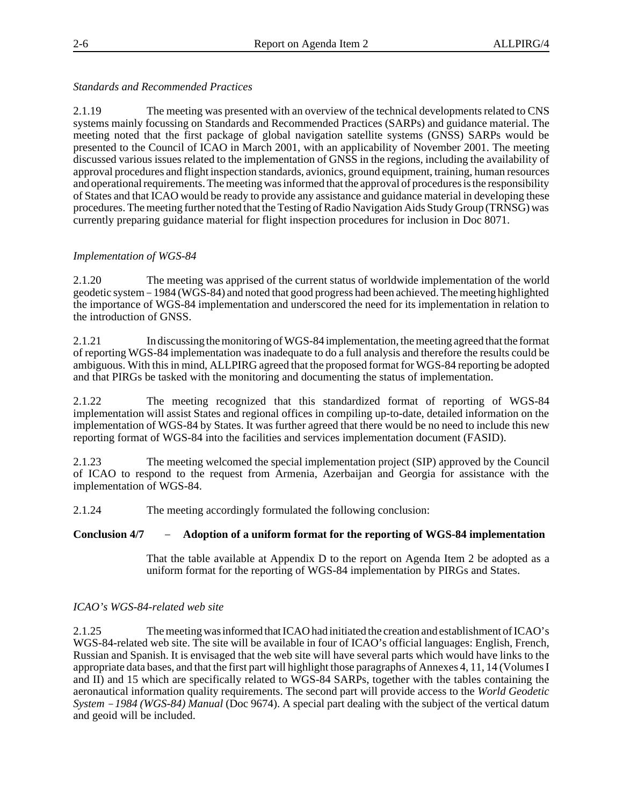### *Standards and Recommended Practices*

2.1.19 The meeting was presented with an overview of the technical developments related to CNS systems mainly focussing on Standards and Recommended Practices (SARPs) and guidance material. The meeting noted that the first package of global navigation satellite systems (GNSS) SARPs would be presented to the Council of ICAO in March 2001, with an applicability of November 2001. The meeting discussed various issues related to the implementation of GNSS in the regions, including the availability of approval procedures and flight inspection standards, avionics, ground equipment, training, human resources and operational requirements. The meeting was informed that the approval of procedures is the responsibility of States and that ICAO would be ready to provide any assistance and guidance material in developing these procedures. The meeting further noted that the Testing of Radio Navigation Aids Study Group (TRNSG) was currently preparing guidance material for flight inspection procedures for inclusion in Doc 8071.

### *Implementation of WGS-84*

2.1.20 The meeting was apprised of the current status of worldwide implementation of the world geodetic system 1984 (WGS-84) and noted that good progress had been achieved. The meeting highlighted the importance of WGS-84 implementation and underscored the need for its implementation in relation to the introduction of GNSS.

2.1.21 In discussing the monitoring of WGS-84 implementation, the meeting agreed that the format of reporting WGS-84 implementation was inadequate to do a full analysis and therefore the results could be ambiguous. With this in mind, ALLPIRG agreed that the proposed format for WGS-84 reporting be adopted and that PIRGs be tasked with the monitoring and documenting the status of implementation.

2.1.22 The meeting recognized that this standardized format of reporting of WGS-84 implementation will assist States and regional offices in compiling up-to-date, detailed information on the implementation of WGS-84 by States. It was further agreed that there would be no need to include this new reporting format of WGS-84 into the facilities and services implementation document (FASID).

2.1.23 The meeting welcomed the special implementation project (SIP) approved by the Council of ICAO to respond to the request from Armenia, Azerbaijan and Georgia for assistance with the implementation of WGS-84.

2.1.24 The meeting accordingly formulated the following conclusion:

### **Conclusion 4/7 Adoption of a uniform format for the reporting of WGS-84 implementation**

That the table available at Appendix D to the report on Agenda Item 2 be adopted as a uniform format for the reporting of WGS-84 implementation by PIRGs and States.

### *ICAO's WGS-84-related web site*

2.1.25 The meeting was informed that ICAO had initiated the creation and establishment of ICAO's WGS-84-related web site. The site will be available in four of ICAO's official languages: English, French, Russian and Spanish. It is envisaged that the web site will have several parts which would have links to the appropriate data bases, and that the first part will highlight those paragraphs of Annexes 4, 11, 14 (Volumes I and II) and 15 which are specifically related to WGS-84 SARPs, together with the tables containing the aeronautical information quality requirements. The second part will provide access to the *World Geodetic* appropriate data bases, and that the first part will highlight those paragraphs of Annexes 4, 11, 14 (Volumes I<br>and II) and 15 which are specifically related to WGS-84 SARPs, together with the tables containing the<br>aeronau and geoid will be included.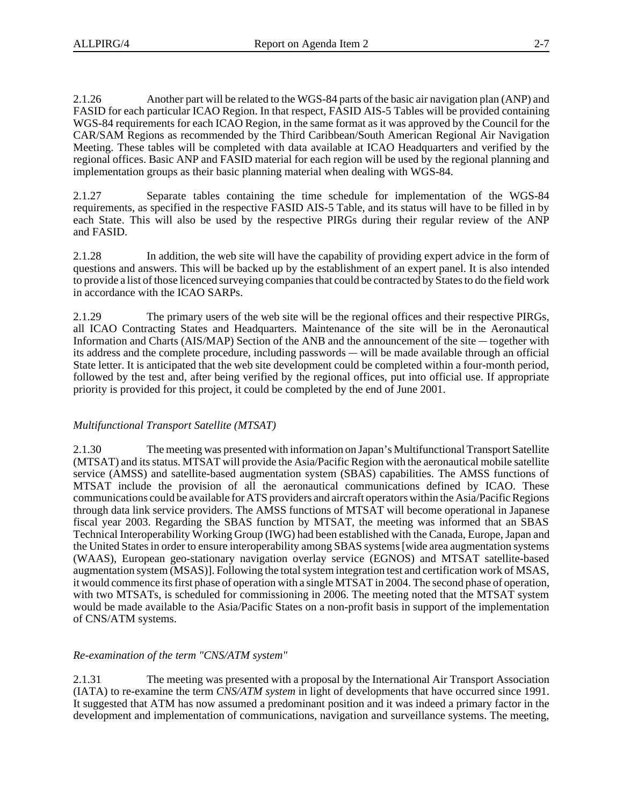2.1.26 Another part will be related to the WGS-84 parts of the basic air navigation plan (ANP) and FASID for each particular ICAO Region. In that respect, FASID AIS-5 Tables will be provided containing WGS-84 requirements for each ICAO Region, in the same format as it was approved by the Council for the CAR/SAM Regions as recommended by the Third Caribbean/South American Regional Air Navigation Meeting. These tables will be completed with data available at ICAO Headquarters and verified by the regional offices. Basic ANP and FASID material for each region will be used by the regional planning and implementation groups as their basic planning material when dealing with WGS-84.

2.1.27 Separate tables containing the time schedule for implementation of the WGS-84 requirements, as specified in the respective FASID AIS-5 Table, and its status will have to be filled in by each State. This will also be used by the respective PIRGs during their regular review of the ANP and FASID.

2.1.28 In addition, the web site will have the capability of providing expert advice in the form of questions and answers. This will be backed up by the establishment of an expert panel. It is also intended to provide a list of those licenced surveying companies that could be contracted by States to do the field work in accordance with the ICAO SARPs.

2.1.29 The primary users of the web site will be the regional offices and their respective PIRGs, all ICAO Contracting States and Headquarters. Maintenance of the site will be in the Aeronautical 2.1.29 The primary users of the web site will be the regional offices and their resp<br>all ICAO Contracting States and Headquarters. Maintenance of the site will be in the<br>Information and Charts (AIS/MAP) Section of the ANB Information and Charts ( $AIS/MAP$ ) Section of the ANB and the announcement of the site  $-$  together with 2.1.29 The primary users of the web site will be the reall ICAO Contracting States and Headquarters. Maintenance<br>Information and Charts (AIS/MAP) Section of the ANB and the<br>its address and the complete procedure, including its address and the complete procedure, including passwords — will be made available through an official State letter. It is anticipated that the web site development could be completed within a four-month period, followed by the test and, after being verified by the regional offices, put into official use. If appropriate priority is provided for this project, it could be completed by the end of June 2001.

### *Multifunctional Transport Satellite (MTSAT)*

2.1.30 The meeting was presented with information on Japan's Multifunctional Transport Satellite (MTSAT) and its status. MTSAT will provide the Asia/Pacific Region with the aeronautical mobile satellite service (AMSS) and satellite-based augmentation system (SBAS) capabilities. The AMSS functions of MTSAT include the provision of all the aeronautical communications defined by ICAO. These communications could be available for ATS providers and aircraft operators within the Asia/Pacific Regions through data link service providers. The AMSS functions of MTSAT will become operational in Japanese fiscal year 2003. Regarding the SBAS function by MTSAT, the meeting was informed that an SBAS Technical Interoperability Working Group (IWG) had been established with the Canada, Europe, Japan and the United States in order to ensure interoperability among SBAS systems [wide area augmentation systems (WAAS), European geo-stationary navigation overlay service (EGNOS) and MTSAT satellite-based augmentation system (MSAS)]. Following the total system integration test and certification work of MSAS, it would commence its first phase of operation with a single MTSAT in 2004. The second phase of operation, with two MTSATs, is scheduled for commissioning in 2006. The meeting noted that the MTSAT system would be made available to the Asia/Pacific States on a non-profit basis in support of the implementation of CNS/ATM systems.

### *Re-examination of the term "CNS/ATM system"*

2.1.31 The meeting was presented with a proposal by the International Air Transport Association (IATA) to re-examine the term *CNS/ATM system* in light of developments that have occurred since 1991. It suggested that ATM has now assumed a predominant position and it was indeed a primary factor in the development and implementation of communications, navigation and surveillance systems. The meeting,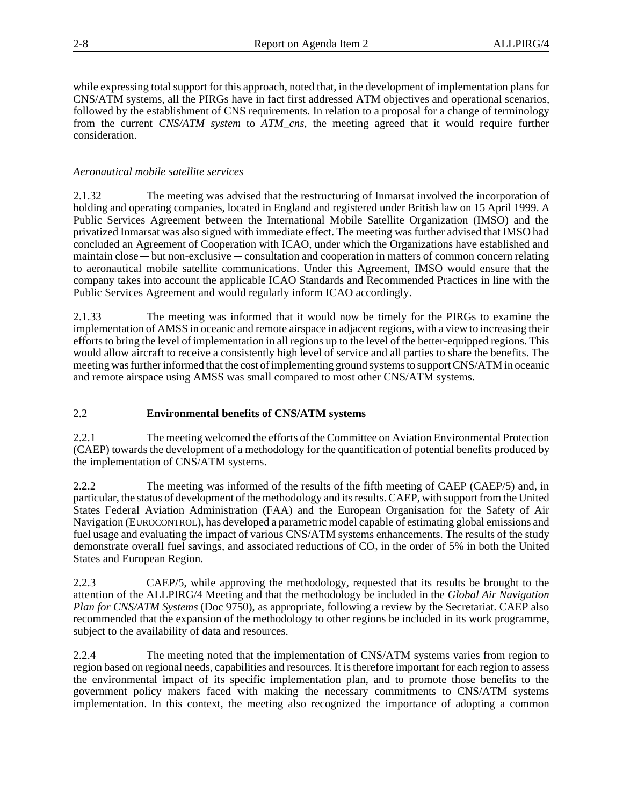while expressing total support for this approach, noted that, in the development of implementation plans for CNS/ATM systems, all the PIRGs have in fact first addressed ATM objectives and operational scenarios, followed by the establishment of CNS requirements. In relation to a proposal for a change of terminology from the current *CNS/ATM system* to *ATM\_cns*, the meeting agreed that it would require further consideration.

### *Aeronautical mobile satellite services*

2.1.32 The meeting was advised that the restructuring of Inmarsat involved the incorporation of holding and operating companies, located in England and registered under British law on 15 April 1999. A Public Services Agreement between the International Mobile Satellite Organization (IMSO) and the privatized Inmarsat was also signed with immediate effect. The meeting was further advised that IMSO had concluded an Agreement of Cooperation with ICAO, under which the Organizations have established and Public Services Agreement between<br>privatized Inmarsat was also signed w<br>concluded an Agreement of Cooperat<br>maintain close — but non-exclusive maintain close — but non-exclusive — consultation and cooperation in matters of common concern relating to aeronautical mobile satellite communications. Under this Agreement, IMSO would ensure that the company takes into account the applicable ICAO Standards and Recommended Practices in line with the Public Services Agreement and would regularly inform ICAO accordingly.

2.1.33 The meeting was informed that it would now be timely for the PIRGs to examine the implementation of AMSS in oceanic and remote airspace in adjacent regions, with a view to increasing their efforts to bring the level of implementation in all regions up to the level of the better-equipped regions. This would allow aircraft to receive a consistently high level of service and all parties to share the benefits. The meeting was further informed that the cost of implementing ground systems to support CNS/ATM in oceanic and remote airspace using AMSS was small compared to most other CNS/ATM systems.

### 2.2 **Environmental benefits of CNS/ATM systems**

2.2.1 The meeting welcomed the efforts of the Committee on Aviation Environmental Protection (CAEP) towards the development of a methodology for the quantification of potential benefits produced by the implementation of CNS/ATM systems.

2.2.2 The meeting was informed of the results of the fifth meeting of CAEP (CAEP/5) and, in particular, the status of development of the methodology and its results. CAEP, with support from the United States Federal Aviation Administration (FAA) and the European Organisation for the Safety of Air Navigation (EUROCONTROL), has developed a parametric model capable of estimating global emissions and fuel usage and evaluating the impact of various CNS/ATM systems enhancements. The results of the study demonstrate overall fuel savings, and associated reductions of  $CO<sub>2</sub>$  in the order of 5% in both the United States and European Region.

2.2.3 CAEP/5, while approving the methodology, requested that its results be brought to the attention of the ALLPIRG/4 Meeting and that the methodology be included in the *Global Air Navigation Plan for CNS/ATM Systems* (Doc 9750), as appropriate, following a review by the Secretariat. CAEP also recommended that the expansion of the methodology to other regions be included in its work programme, subject to the availability of data and resources.

2.2.4 The meeting noted that the implementation of CNS/ATM systems varies from region to region based on regional needs, capabilities and resources. It is therefore important for each region to assess the environmental impact of its specific implementation plan, and to promote those benefits to the government policy makers faced with making the necessary commitments to CNS/ATM systems implementation. In this context, the meeting also recognized the importance of adopting a common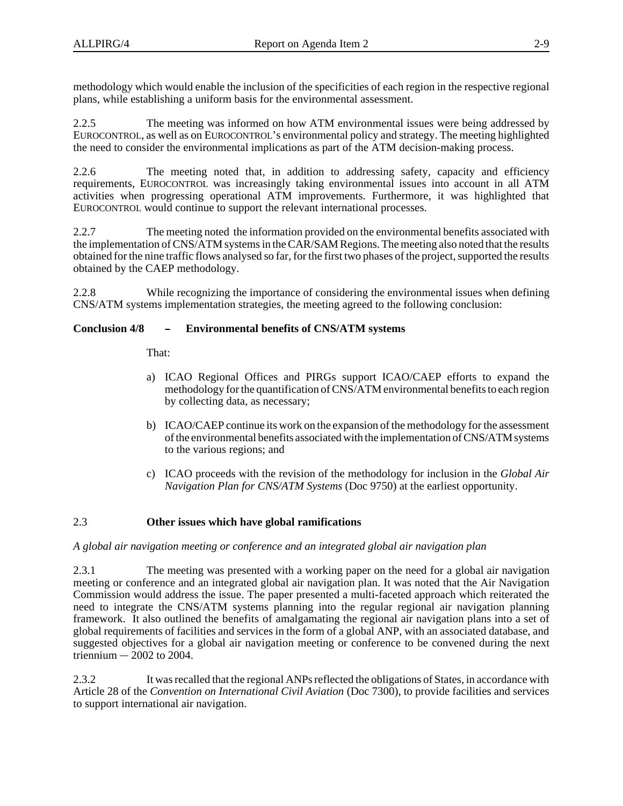methodology which would enable the inclusion of the specificities of each region in the respective regional plans, while establishing a uniform basis for the environmental assessment.

2.2.5 The meeting was informed on how ATM environmental issues were being addressed by EUROCONTROL, as well as on EUROCONTROL's environmental policy and strategy. The meeting highlighted the need to consider the environmental implications as part of the ATM decision-making process.

2.2.6 The meeting noted that, in addition to addressing safety, capacity and efficiency requirements, EUROCONTROL was increasingly taking environmental issues into account in all ATM activities when progressing operational ATM improvements. Furthermore, it was highlighted that EUROCONTROL would continue to support the relevant international processes.

2.2.7 The meeting noted the information provided on the environmental benefits associated with the implementation of CNS/ATM systems in the CAR/SAM Regions. The meeting also noted that the results obtained for the nine traffic flows analysed so far, for the first two phases of the project, supported the results obtained by the CAEP methodology.

2.2.8 While recognizing the importance of considering the environmental issues when defining CNS/ATM systems implementation strategies, the meeting agreed to the following conclusion: 2.2.8 While recognizing the importance of considering the environmental conclusion 4/8 - **Environmental benefits of CNS/ATM systems** 

That:

- a) ICAO Regional Offices and PIRGs support ICAO/CAEP efforts to expand the methodology for the quantification of CNS/ATM environmental benefits to each region by collecting data, as necessary;
- b) ICAO/CAEP continue its work on the expansion of the methodology for the assessment of the environmental benefits associated with the implementation of CNS/ATM systems to the various regions; and
- c) ICAO proceeds with the revision of the methodology for inclusion in the *Global Air Navigation Plan for CNS/ATM Systems* (Doc 9750) at the earliest opportunity.

### 2.3 **Other issues which have global ramifications**

### *A global air navigation meeting or conference and an integrated global air navigation plan*

2.3.1 The meeting was presented with a working paper on the need for a global air navigation meeting or conference and an integrated global air navigation plan. It was noted that the Air Navigation Commission would address the issue. The paper presented a multi-faceted approach which reiterated the need to integrate the CNS/ATM systems planning into the regular regional air navigation planning framework. It also outlined the benefits of amalgamating the regional air navigation plans into a set of global requirements of facilities and services in the form of a global ANP, with an associated database, and suggested objectives for a global air navigation meeting or conference to be convened during the next framework.<br>global requin<br>suggested ol<br>triennium triennium  $-2002$  to 2004.

2.3.2 It was recalled that the regional ANPs reflected the obligations of States, in accordance with Article 28 of the *Convention on International Civil Aviation* (Doc 7300), to provide facilities and services to support international air navigation.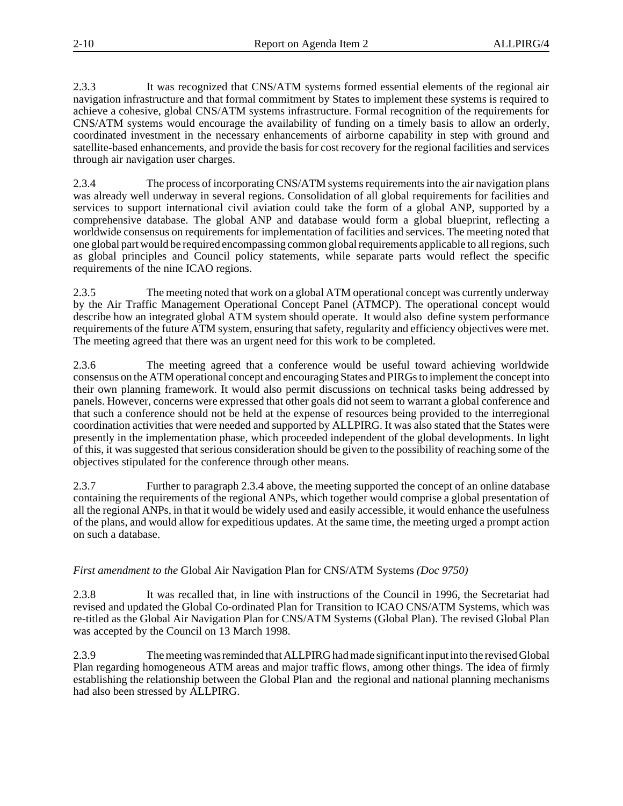2.3.3 It was recognized that CNS/ATM systems formed essential elements of the regional air navigation infrastructure and that formal commitment by States to implement these systems is required to achieve a cohesive, global CNS/ATM systems infrastructure. Formal recognition of the requirements for CNS/ATM systems would encourage the availability of funding on a timely basis to allow an orderly, coordinated investment in the necessary enhancements of airborne capability in step with ground and satellite-based enhancements, and provide the basis for cost recovery for the regional facilities and services through air navigation user charges.

2.3.4 The process of incorporating CNS/ATM systems requirements into the air navigation plans was already well underway in several regions. Consolidation of all global requirements for facilities and services to support international civil aviation could take the form of a global ANP, supported by a comprehensive database. The global ANP and database would form a global blueprint, reflecting a worldwide consensus on requirements for implementation of facilities and services. The meeting noted that one global part would be required encompassing common global requirements applicable to all regions, such as global principles and Council policy statements, while separate parts would reflect the specific requirements of the nine ICAO regions.

2.3.5 The meeting noted that work on a global ATM operational concept was currently underway by the Air Traffic Management Operational Concept Panel (ATMCP). The operational concept would describe how an integrated global ATM system should operate. It would also define system performance requirements of the future ATM system, ensuring that safety, regularity and efficiency objectives were met. The meeting agreed that there was an urgent need for this work to be completed.

2.3.6 The meeting agreed that a conference would be useful toward achieving worldwide consensus on the ATM operational concept and encouraging States and PIRGs to implement the concept into their own planning framework. It would also permit discussions on technical tasks being addressed by panels. However, concerns were expressed that other goals did not seem to warrant a global conference and that such a conference should not be held at the expense of resources being provided to the interregional coordination activities that were needed and supported by ALLPIRG. It was also stated that the States were presently in the implementation phase, which proceeded independent of the global developments. In light of this, it was suggested that serious consideration should be given to the possibility of reaching some of the objectives stipulated for the conference through other means.

2.3.7 Further to paragraph 2.3.4 above, the meeting supported the concept of an online database containing the requirements of the regional ANPs, which together would comprise a global presentation of all the regional ANPs, in that it would be widely used and easily accessible, it would enhance the usefulness of the plans, and would allow for expeditious updates. At the same time, the meeting urged a prompt action on such a database.

### *First amendment to the* Global Air Navigation Plan for CNS/ATM Systems *(Doc 9750)*

2.3.8 It was recalled that, in line with instructions of the Council in 1996, the Secretariat had revised and updated the Global Co-ordinated Plan for Transition to ICAO CNS/ATM Systems, which was re-titled as the Global Air Navigation Plan for CNS/ATM Systems (Global Plan). The revised Global Plan was accepted by the Council on 13 March 1998.

2.3.9 The meeting was reminded that ALLPIRG had made significant input into the revised Global Plan regarding homogeneous ATM areas and major traffic flows, among other things. The idea of firmly establishing the relationship between the Global Plan and the regional and national planning mechanisms had also been stressed by ALLPIRG.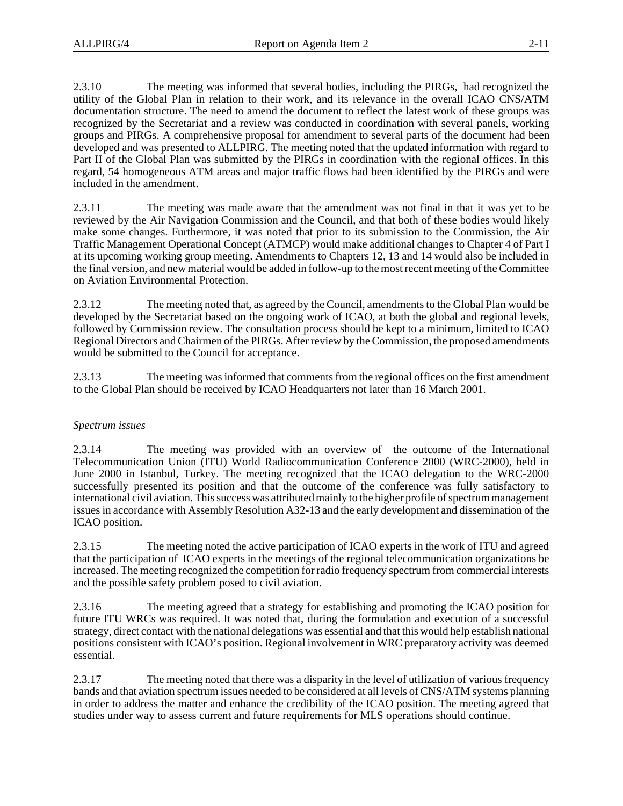2.3.10 The meeting was informed that several bodies, including the PIRGs, had recognized the utility of the Global Plan in relation to their work, and its relevance in the overall ICAO CNS/ATM documentation structure. The need to amend the document to reflect the latest work of these groups was recognized by the Secretariat and a review was conducted in coordination with several panels, working groups and PIRGs. A comprehensive proposal for amendment to several parts of the document had been developed and was presented to ALLPIRG. The meeting noted that the updated information with regard to Part II of the Global Plan was submitted by the PIRGs in coordination with the regional offices. In this regard, 54 homogeneous ATM areas and major traffic flows had been identified by the PIRGs and were included in the amendment.

2.3.11 The meeting was made aware that the amendment was not final in that it was yet to be reviewed by the Air Navigation Commission and the Council, and that both of these bodies would likely make some changes. Furthermore, it was noted that prior to its submission to the Commission, the Air Traffic Management Operational Concept (ATMCP) would make additional changes to Chapter 4 of Part I at its upcoming working group meeting. Amendments to Chapters 12, 13 and 14 would also be included in the final version, and new material would be added in follow-up to the most recent meeting of the Committee on Aviation Environmental Protection.

2.3.12 The meeting noted that, as agreed by the Council, amendments to the Global Plan would be developed by the Secretariat based on the ongoing work of ICAO, at both the global and regional levels, followed by Commission review. The consultation process should be kept to a minimum, limited to ICAO Regional Directors and Chairmen of the PIRGs. After review by the Commission, the proposed amendments would be submitted to the Council for acceptance.

2.3.13 The meeting was informed that comments from the regional offices on the first amendment to the Global Plan should be received by ICAO Headquarters not later than 16 March 2001.

### *Spectrum issues*

2.3.14 The meeting was provided with an overview of the outcome of the International Telecommunication Union (ITU) World Radiocommunication Conference 2000 (WRC-2000), held in June 2000 in Istanbul, Turkey. The meeting recognized that the ICAO delegation to the WRC-2000 successfully presented its position and that the outcome of the conference was fully satisfactory to international civil aviation. This success was attributed mainly to the higher profile of spectrum management issues in accordance with Assembly Resolution A32-13 and the early development and dissemination of the ICAO position.

2.3.15 The meeting noted the active participation of ICAO experts in the work of ITU and agreed that the participation of ICAO experts in the meetings of the regional telecommunication organizations be increased. The meeting recognized the competition for radio frequency spectrum from commercial interests and the possible safety problem posed to civil aviation.

2.3.16 The meeting agreed that a strategy for establishing and promoting the ICAO position for future ITU WRCs was required. It was noted that, during the formulation and execution of a successful strategy, direct contact with the national delegations was essential and that this would help establish national positions consistent with ICAO's position. Regional involvement in WRC preparatory activity was deemed essential.

2.3.17 The meeting noted that there was a disparity in the level of utilization of various frequency bands and that aviation spectrum issues needed to be considered at all levels of CNS/ATM systems planning in order to address the matter and enhance the credibility of the ICAO position. The meeting agreed that studies under way to assess current and future requirements for MLS operations should continue.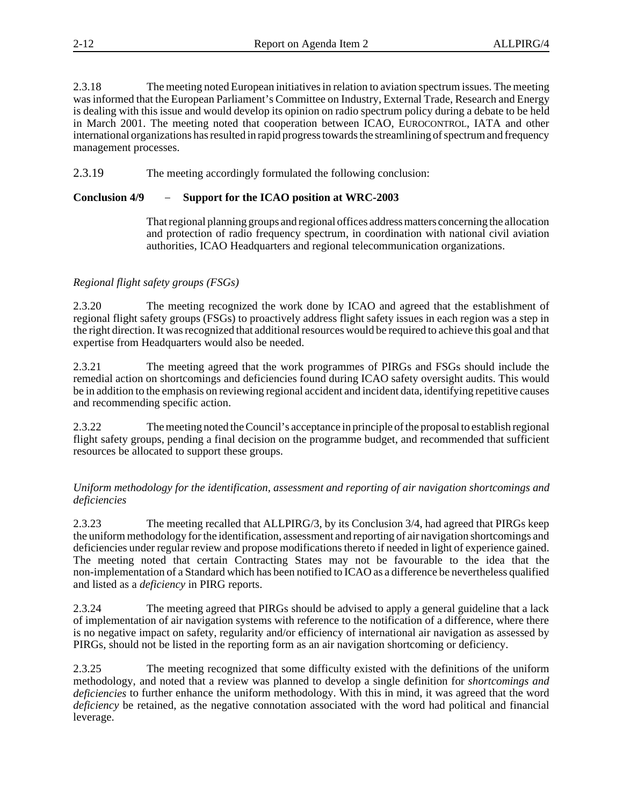2.3.18 The meeting noted European initiatives in relation to aviation spectrum issues. The meeting was informed that the European Parliament's Committee on Industry, External Trade, Research and Energy is dealing with this issue and would develop its opinion on radio spectrum policy during a debate to be held in March 2001. The meeting noted that cooperation between ICAO, EUROCONTROL, IATA and other international organizations has resulted in rapid progress towards the streamlining of spectrum and frequency management processes.

2.3.19 The meeting accordingly formulated the following conclusion: 2.3.19 The meeting accordingly formulated the following conc<br>**Conclusion 4/9** - Support for the ICAO position at WRC-2003

That regional planning groups and regional offices address matters concerning the allocation and protection of radio frequency spectrum, in coordination with national civil aviation authorities, ICAO Headquarters and regional telecommunication organizations.

### *Regional flight safety groups (FSGs)*

2.3.20 The meeting recognized the work done by ICAO and agreed that the establishment of regional flight safety groups (FSGs) to proactively address flight safety issues in each region was a step in the right direction. It was recognized that additional resources would be required to achieve this goal and that expertise from Headquarters would also be needed.

2.3.21 The meeting agreed that the work programmes of PIRGs and FSGs should include the remedial action on shortcomings and deficiencies found during ICAO safety oversight audits. This would be in addition to the emphasis on reviewing regional accident and incident data, identifying repetitive causes and recommending specific action.

2.3.22 The meeting noted the Council's acceptance in principle of the proposal to establish regional flight safety groups, pending a final decision on the programme budget, and recommended that sufficient resources be allocated to support these groups.

### *Uniform methodology for the identification, assessment and reporting of air navigation shortcomings and deficiencies*

2.3.23 The meeting recalled that ALLPIRG/3, by its Conclusion 3/4, had agreed that PIRGs keep the uniform methodology for the identification, assessment and reporting of air navigation shortcomings and deficiencies under regular review and propose modifications thereto if needed in light of experience gained. The meeting noted that certain Contracting States may not be favourable to the idea that the non-implementation of a Standard which has been notified to ICAO as a difference be nevertheless qualified and listed as a *deficiency* in PIRG reports.

2.3.24 The meeting agreed that PIRGs should be advised to apply a general guideline that a lack of implementation of air navigation systems with reference to the notification of a difference, where there is no negative impact on safety, regularity and/or efficiency of international air navigation as assessed by PIRGs, should not be listed in the reporting form as an air navigation shortcoming or deficiency.

2.3.25 The meeting recognized that some difficulty existed with the definitions of the uniform methodology, and noted that a review was planned to develop a single definition for *shortcomings and deficiencies* to further enhance the uniform methodology. With this in mind, it was agreed that the word *deficiency* be retained, as the negative connotation associated with the word had political and financial leverage.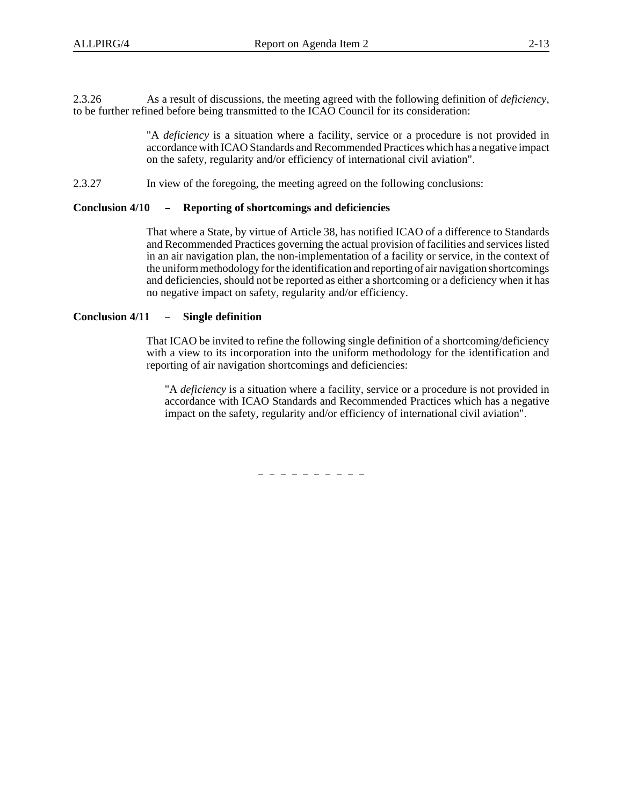2.3.26 As a result of discussions, the meeting agreed with the following definition of *deficiency*, to be further refined before being transmitted to the ICAO Council for its consideration:

> "A *deficiency* is a situation where a facility, service or a procedure is not provided in accordance with ICAO Standards and Recommended Practices which has a negative impact on the safety, regularity and/or efficiency of international civil aviation".

2.3.27 In view of the foregoing, the meeting agreed on the following conclusions:

# 2.3.27 In view of the foregoing, the meeting agreed on the fo<br>**Conclusion 4/10** - Reporting of shortcomings and deficiencies

That where a State, by virtue of Article 38, has notified ICAO of a difference to Standards and Recommended Practices governing the actual provision of facilities and services listed in an air navigation plan, the non-implementation of a facility or service, in the context of the uniform methodology for the identification and reporting of air navigation shortcomings and deficiencies, should not be reported as either a shortcoming or a deficiency when it has no negative impact on safety, regularity and/or efficiency. and deficiencies, should n<br>no negative impact on saf<br>**Conclusion 4/11** – Single definition

That ICAO be invited to refine the following single definition of a shortcoming/deficiency with a view to its incorporation into the uniform methodology for the identification and reporting of air navigation shortcomings and deficiencies:

"A *deficiency* is a situation where a facility, service or a procedure is not provided in accordance with ICAO Standards and Recommended Practices which has a negative impact on the safety, regularity and/or efficiency of international civil aviation".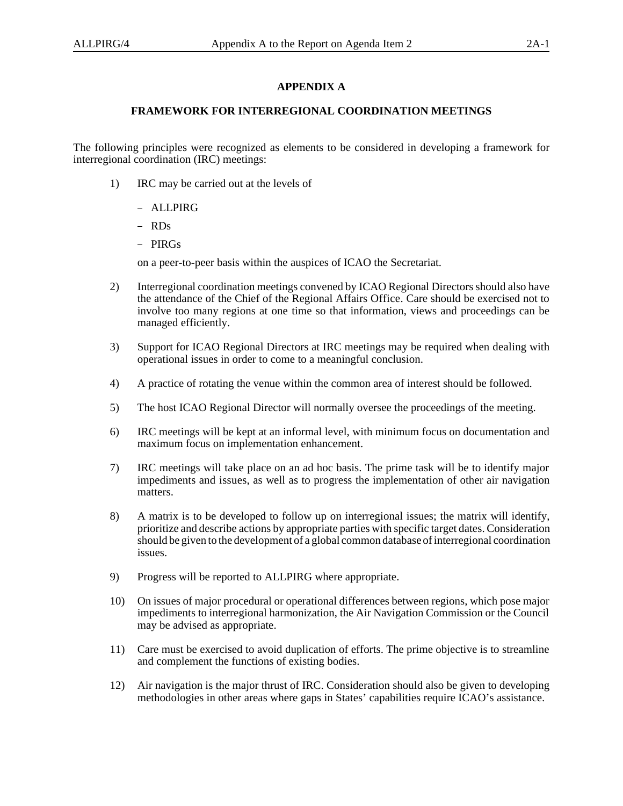### **APPENDIX A**

### **FRAMEWORK FOR INTERREGIONAL COORDINATION MEETINGS**

The following principles were recognized as elements to be considered in developing a framework for interregional coordination (IRC) meetings:

- 1) IRC may be carried out at the levels of  $\ddot{\phantom{0}}$ 
	- ALLPIRG
	- RDs
	- PIRGs

on a peer-to-peer basis within the auspices of ICAO the Secretariat.

- 2) Interregional coordination meetings convened by ICAO Regional Directors should also have the attendance of the Chief of the Regional Affairs Office. Care should be exercised not to involve too many regions at one time so that information, views and proceedings can be managed efficiently.
- 3) Support for ICAO Regional Directors at IRC meetings may be required when dealing with operational issues in order to come to a meaningful conclusion.
- 4) A practice of rotating the venue within the common area of interest should be followed.
- 5) The host ICAO Regional Director will normally oversee the proceedings of the meeting.
- 6) IRC meetings will be kept at an informal level, with minimum focus on documentation and maximum focus on implementation enhancement.
- 7) IRC meetings will take place on an ad hoc basis. The prime task will be to identify major impediments and issues, as well as to progress the implementation of other air navigation matters.
- 8) A matrix is to be developed to follow up on interregional issues; the matrix will identify, prioritize and describe actions by appropriate parties with specific target dates. Consideration should be given to the development of a global common database of interregional coordination issues.
- 9) Progress will be reported to ALLPIRG where appropriate.
- 10) On issues of major procedural or operational differences between regions, which pose major impediments to interregional harmonization, the Air Navigation Commission or the Council may be advised as appropriate.
- 11) Care must be exercised to avoid duplication of efforts. The prime objective is to streamline and complement the functions of existing bodies.
- 12) Air navigation is the major thrust of IRC. Consideration should also be given to developing methodologies in other areas where gaps in States' capabilities require ICAO's assistance.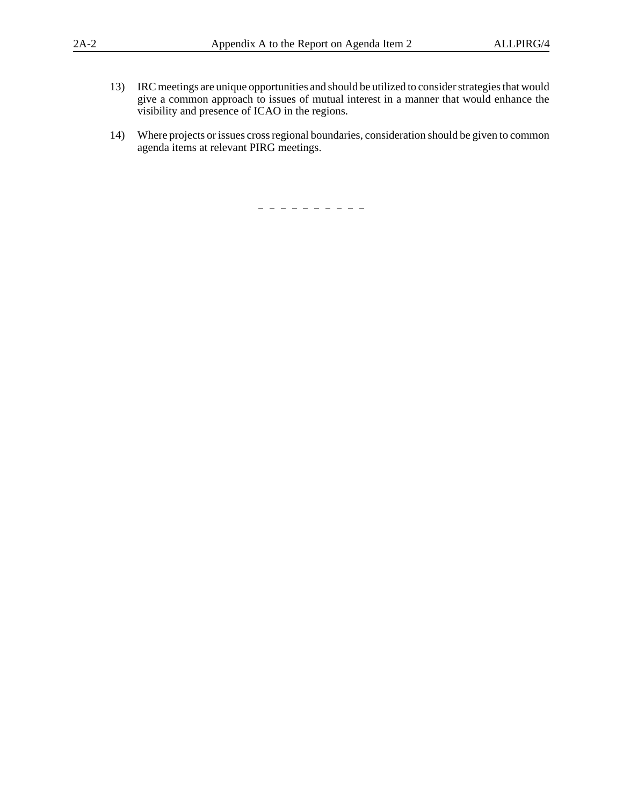- 13) IRC meetings are unique opportunities and should be utilized to consider strategies that would give a common approach to issues of mutual interest in a manner that would enhance the visibility and presence of ICAO in the regions.
- 14) Where projects or issues cross regional boundaries, consideration should be given to common agenda items at relevant PIRG meetings.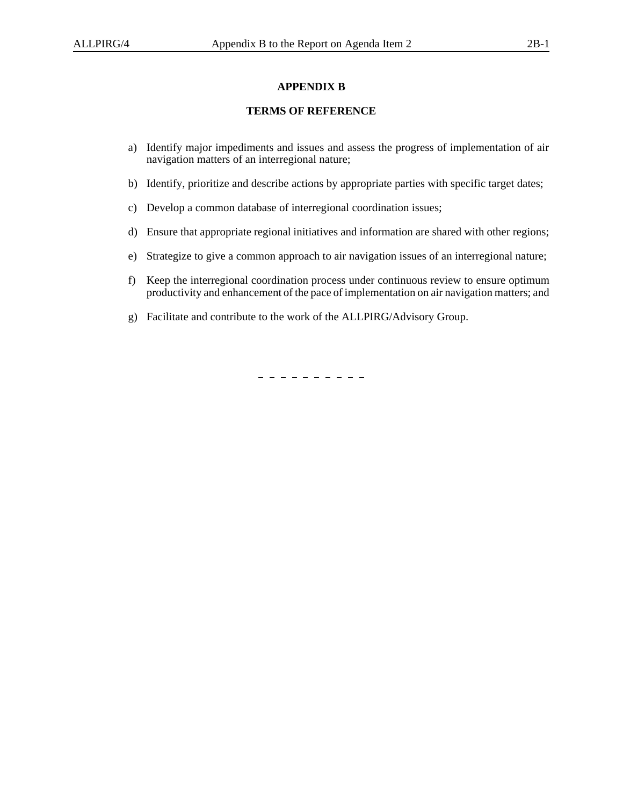### **APPENDIX B**

### **TERMS OF REFERENCE**

- a) Identify major impediments and issues and assess the progress of implementation of air navigation matters of an interregional nature;
- b) Identify, prioritize and describe actions by appropriate parties with specific target dates;
- c) Develop a common database of interregional coordination issues;
- d) Ensure that appropriate regional initiatives and information are shared with other regions;
- e) Strategize to give a common approach to air navigation issues of an interregional nature;
- f) Keep the interregional coordination process under continuous review to ensure optimum productivity and enhancement of the pace of implementation on air navigation matters; and
- g) Facilitate and contribute to the work of the ALLPIRG/Advisory Group.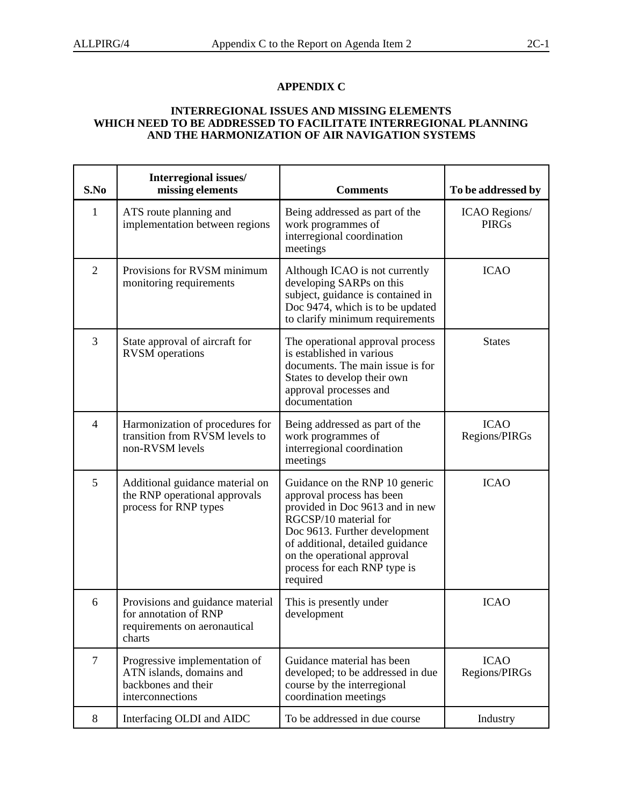### **INTERREGIONAL ISSUES AND MISSING ELEMENTS WHICH NEED TO BE ADDRESSED TO FACILITATE INTERREGIONAL PLANNING AND THE HARMONIZATION OF AIR NAVIGATION SYSTEMS**

| S.No           | Interregional issues/<br>missing elements                                                            | <b>Comments</b>                                                                                                                                                                                                                                                         | To be addressed by                   |
|----------------|------------------------------------------------------------------------------------------------------|-------------------------------------------------------------------------------------------------------------------------------------------------------------------------------------------------------------------------------------------------------------------------|--------------------------------------|
| $\mathbf{1}$   | ATS route planning and<br>implementation between regions                                             | Being addressed as part of the<br>work programmes of<br>interregional coordination<br>meetings                                                                                                                                                                          | <b>ICAO</b> Regions/<br><b>PIRGs</b> |
| $\overline{2}$ | Provisions for RVSM minimum<br>monitoring requirements                                               | Although ICAO is not currently<br>developing SARPs on this<br>subject, guidance is contained in<br>Doc 9474, which is to be updated<br>to clarify minimum requirements                                                                                                  | <b>ICAO</b>                          |
| 3              | State approval of aircraft for<br><b>RVSM</b> operations                                             | The operational approval process<br>is established in various<br>documents. The main issue is for<br>States to develop their own<br>approval processes and<br>documentation                                                                                             | <b>States</b>                        |
| $\overline{4}$ | Harmonization of procedures for<br>transition from RVSM levels to<br>non-RVSM levels                 | Being addressed as part of the<br>work programmes of<br>interregional coordination<br>meetings                                                                                                                                                                          | <b>ICAO</b><br>Regions/PIRGs         |
| 5              | Additional guidance material on<br>the RNP operational approvals<br>process for RNP types            | Guidance on the RNP 10 generic<br>approval process has been<br>provided in Doc 9613 and in new<br>RGCSP/10 material for<br>Doc 9613. Further development<br>of additional, detailed guidance<br>on the operational approval<br>process for each RNP type is<br>required | <b>ICAO</b>                          |
| 6              | Provisions and guidance material<br>for annotation of RNP<br>requirements on aeronautical<br>charts  | This is presently under<br>development                                                                                                                                                                                                                                  | <b>ICAO</b>                          |
| $\tau$         | Progressive implementation of<br>ATN islands, domains and<br>backbones and their<br>interconnections | Guidance material has been<br>developed; to be addressed in due<br>course by the interregional<br>coordination meetings                                                                                                                                                 | <b>ICAO</b><br>Regions/PIRGs         |
| 8              | Interfacing OLDI and AIDC                                                                            | To be addressed in due course                                                                                                                                                                                                                                           | Industry                             |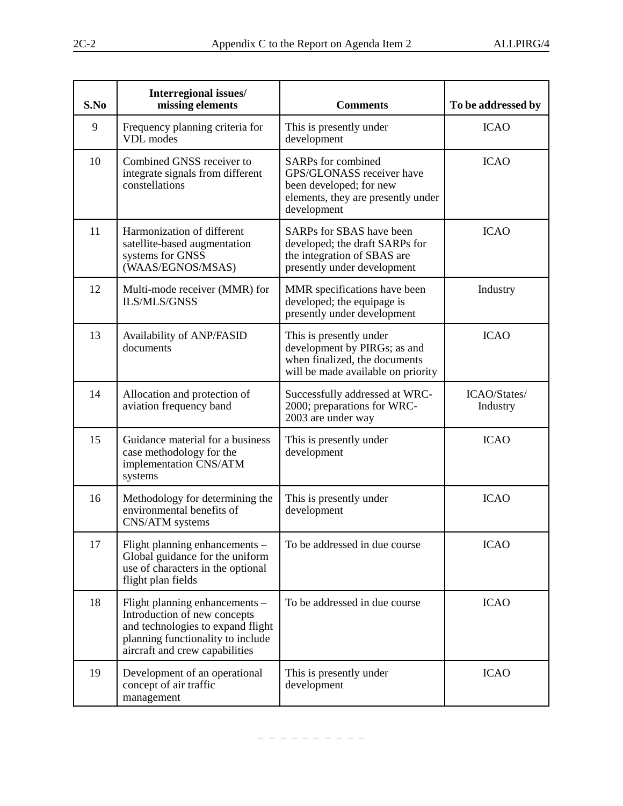| S.No | Interregional issues/<br>missing elements                                                                                                                                  | <b>Comments</b>                                                                                                                 | To be addressed by       |
|------|----------------------------------------------------------------------------------------------------------------------------------------------------------------------------|---------------------------------------------------------------------------------------------------------------------------------|--------------------------|
| 9    | Frequency planning criteria for<br>VDL modes                                                                                                                               | This is presently under<br>development                                                                                          | <b>ICAO</b>              |
| 10   | Combined GNSS receiver to<br>integrate signals from different<br>constellations                                                                                            | SARPs for combined<br>GPS/GLONASS receiver have<br>been developed; for new<br>elements, they are presently under<br>development | <b>ICAO</b>              |
| 11   | Harmonization of different<br>satellite-based augmentation<br>systems for GNSS<br>(WAAS/EGNOS/MSAS)                                                                        | SARPs for SBAS have been<br>developed; the draft SARPs for<br>the integration of SBAS are<br>presently under development        | <b>ICAO</b>              |
| 12   | Multi-mode receiver (MMR) for<br><b>ILS/MLS/GNSS</b>                                                                                                                       | MMR specifications have been<br>developed; the equipage is<br>presently under development                                       | Industry                 |
| 13   | Availability of ANP/FASID<br>documents                                                                                                                                     | This is presently under<br>development by PIRGs; as and<br>when finalized, the documents<br>will be made available on priority  | <b>ICAO</b>              |
| 14   | Allocation and protection of<br>aviation frequency band                                                                                                                    | Successfully addressed at WRC-<br>2000; preparations for WRC-<br>2003 are under way                                             | ICAO/States/<br>Industry |
| 15   | Guidance material for a business<br>case methodology for the<br>implementation CNS/ATM<br>systems                                                                          | This is presently under<br>development                                                                                          | <b>ICAO</b>              |
| 16   | Methodology for determining the<br>environmental benefits of<br>CNS/ATM systems                                                                                            | This is presently under<br>development                                                                                          | <b>ICAO</b>              |
| 17   | Flight planning enhancements -<br>Global guidance for the uniform<br>use of characters in the optional<br>flight plan fields                                               | To be addressed in due course                                                                                                   | <b>ICAO</b>              |
| 18   | Flight planning enhancements -<br>Introduction of new concepts<br>and technologies to expand flight<br>planning functionality to include<br>aircraft and crew capabilities | To be addressed in due course                                                                                                   | <b>ICAO</b>              |
| 19   | Development of an operational<br>concept of air traffic<br>management                                                                                                      | This is presently under<br>development                                                                                          | <b>ICAO</b>              |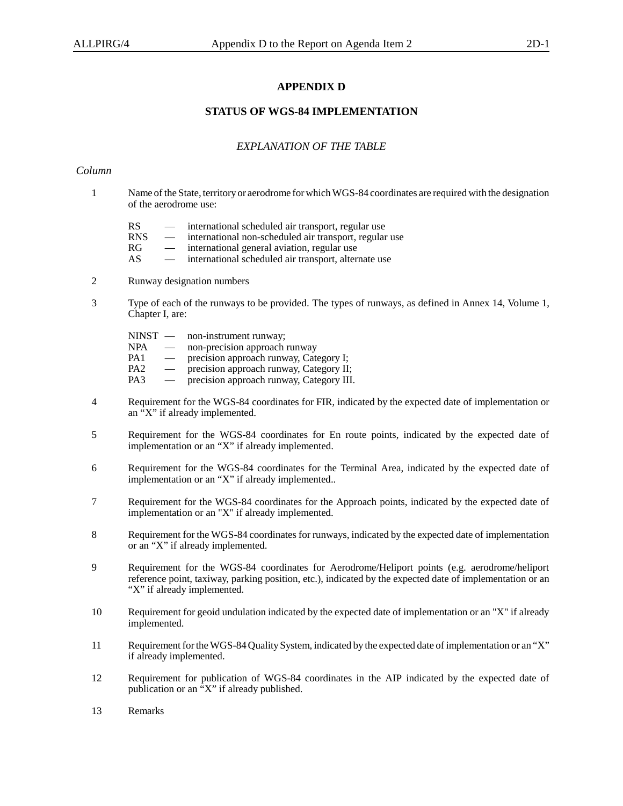### **APPENDIX D**

### **STATUS OF WGS-84 IMPLEMENTATION**

### *EXPLANATION OF THE TABLE*

### *Column*

- 1 Name of the State, territory or aerodrome for which WGS-84 coordinates are required with the designation of the aerodrome use:
	- RS international scheduled air transport, regular use
	- $RNS$  international non-scheduled air transport, regular use<br> $RG$  international general aviation, regular use
	- international general aviation, regular use
	- AS international scheduled air transport, alternate use
- 2 Runway designation numbers
- 3 Type of each of the runways to be provided. The types of runways, as defined in Annex 14, Volume 1, Chapter I, are:

NINST — non-instrument runway; NPA — non-precision approach runway<br>PA1 — precision approach runway. Cate PA1 — precision approach runway, Category I;<br>PA2 — precision approach runway, Category II PA2 — precision approach runway, Category II;<br>PA3 — precision approach runway, Category III precision approach runway, Category III.

- 4 Requirement for the WGS-84 coordinates for FIR, indicated by the expected date of implementation or an "X" if already implemented.
- 5 Requirement for the WGS-84 coordinates for En route points, indicated by the expected date of implementation or an "X" if already implemented.
- 6 Requirement for the WGS-84 coordinates for the Terminal Area, indicated by the expected date of implementation or an "X" if already implemented..
- 7 Requirement for the WGS-84 coordinates for the Approach points, indicated by the expected date of implementation or an "X" if already implemented.
- 8 Requirement for the WGS-84 coordinates for runways, indicated by the expected date of implementation or an "X" if already implemented.
- 9 Requirement for the WGS-84 coordinates for Aerodrome/Heliport points (e.g. aerodrome/heliport reference point, taxiway, parking position, etc.), indicated by the expected date of implementation or an "X" if already implemented.
- 10 Requirement for geoid undulation indicated by the expected date of implementation or an "X" if already implemented.
- 11 Requirement for the WGS-84 Quality System, indicated by the expected date of implementation or an "X" if already implemented.
- 12 Requirement for publication of WGS-84 coordinates in the AIP indicated by the expected date of publication or an "X" if already published.
- 13 Remarks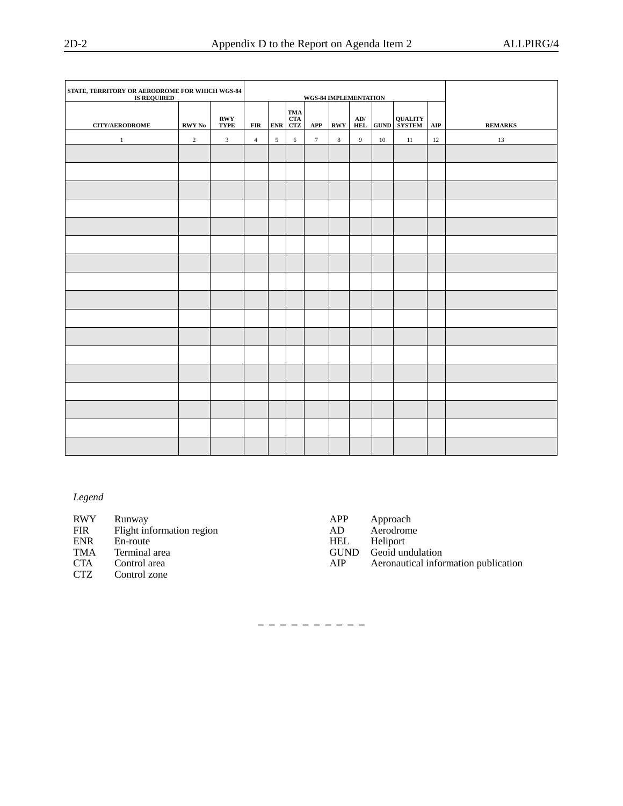| STATE, TERRITORY OR AERODROME FOR WHICH WGS-84<br>IS REQUIRED |                | WGS-84 IMPLEMENTATION                           |                |            |                                        |                 |                                  |                   |    |                     |            |                |
|---------------------------------------------------------------|----------------|-------------------------------------------------|----------------|------------|----------------------------------------|-----------------|----------------------------------|-------------------|----|---------------------|------------|----------------|
| <b>CITY/AERODROME</b>                                         | RWY No         | $\mathbf{R}\mathbf{W}\mathbf{Y}$<br><b>TYPE</b> | FIR            | <b>ENR</b> | TMA<br>$\frac{\text{CTA}}{\text{CTZ}}$ | APP             | $\mathbf{R}\mathbf{W}\mathbf{Y}$ | AD/<br><b>HEL</b> |    | <b>GUND QUALITY</b> | $\bf{AIP}$ | <b>REMARKS</b> |
| $\mathbf{1}$                                                  | $\overline{c}$ | $\mathbf{3}$                                    | $\overline{4}$ | 5          | 6                                      | $7\overline{ }$ | $\,$ 8 $\,$                      | $\overline{9}$    | 10 | 11                  | 12         | 13             |
|                                                               |                |                                                 |                |            |                                        |                 |                                  |                   |    |                     |            |                |
|                                                               |                |                                                 |                |            |                                        |                 |                                  |                   |    |                     |            |                |
|                                                               |                |                                                 |                |            |                                        |                 |                                  |                   |    |                     |            |                |
|                                                               |                |                                                 |                |            |                                        |                 |                                  |                   |    |                     |            |                |
|                                                               |                |                                                 |                |            |                                        |                 |                                  |                   |    |                     |            |                |
|                                                               |                |                                                 |                |            |                                        |                 |                                  |                   |    |                     |            |                |
|                                                               |                |                                                 |                |            |                                        |                 |                                  |                   |    |                     |            |                |
|                                                               |                |                                                 |                |            |                                        |                 |                                  |                   |    |                     |            |                |
|                                                               |                |                                                 |                |            |                                        |                 |                                  |                   |    |                     |            |                |
|                                                               |                |                                                 |                |            |                                        |                 |                                  |                   |    |                     |            |                |
|                                                               |                |                                                 |                |            |                                        |                 |                                  |                   |    |                     |            |                |
|                                                               |                |                                                 |                |            |                                        |                 |                                  |                   |    |                     |            |                |
|                                                               |                |                                                 |                |            |                                        |                 |                                  |                   |    |                     |            |                |
|                                                               |                |                                                 |                |            |                                        |                 |                                  |                   |    |                     |            |                |
|                                                               |                |                                                 |                |            |                                        |                 |                                  |                   |    |                     |            |                |
|                                                               |                |                                                 |                |            |                                        |                 |                                  |                   |    |                     |            |                |
|                                                               |                |                                                 |                |            |                                        |                 |                                  |                   |    |                     |            |                |

*Legend*

| <b>RWY</b> | Runway                    | APP        | Approach                             |
|------------|---------------------------|------------|--------------------------------------|
| FIR        | Flight information region | AD.        | Aerodrome                            |
| ENR        | En-route                  | <b>HEL</b> | Heliport                             |
| TMA        | Terminal area             |            | GUND Geoid undulation                |
| <b>CTA</b> | Control area              | AIP        | Aeronautical information publication |
| <b>CTZ</b> | Control zone              |            |                                      |
|            |                           |            |                                      |

– – – – – – – – – –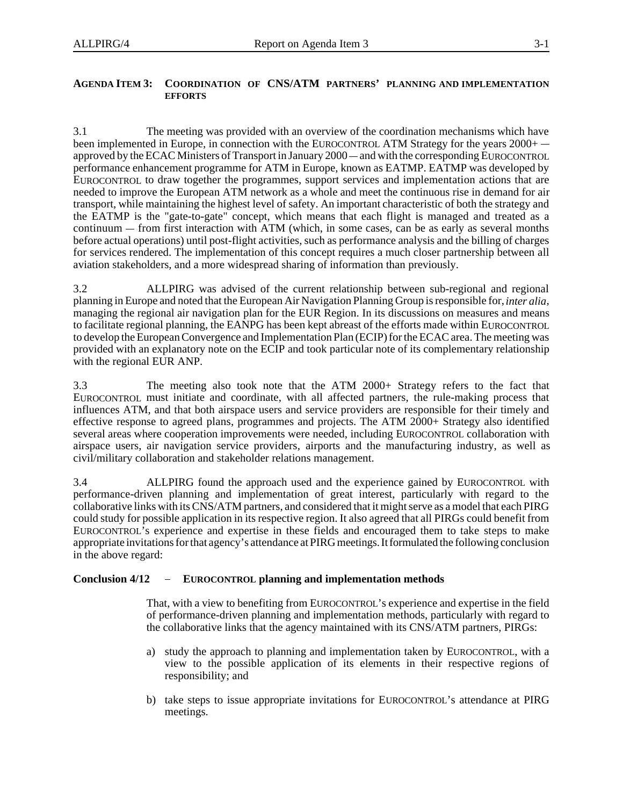### **AGENDA ITEM 3: COORDINATION OF CNS/ATM PARTNERS' PLANNING AND IMPLEMENTATION EFFORTS**

3.1 The meeting was provided with an overview of the coordination mechanisms which have 3.1 The meeting was provided with an overview of the coordination mechanisms which have<br>been implemented in Europe, in connection with the EUROCONTROL ATM Strategy for the years 2000+ -3.1 The meeting was provided with an overview of the coordination mechanisms which have<br>been implemented in Europe, in connection with the EUROCONTROL ATM Strategy for the years 2000+ —<br>approved by the ECAC Ministers of Tr performance enhancement programme for ATM in Europe, known as EATMP. EATMP was developed by EUROCONTROL to draw together the programmes, support services and implementation actions that are needed to improve the European ATM network as a whole and meet the continuous rise in demand for air transport, while maintaining the highest level of safety. An important characteristic of both the strategy and the EATMP is the "gate-to-gate" concept, which means that each flight is managed and treated as a needed to imp<br>transport, whi<br>the EATMP<br>continuum —  $\text{continuum}$  – from first interaction with ATM (which, in some cases, can be as early as several months before actual operations) until post-flight activities, such as performance analysis and the billing of charges for services rendered. The implementation of this concept requires a much closer partnership between all aviation stakeholders, and a more widespread sharing of information than previously.

3.2 ALLPIRG was advised of the current relationship between sub-regional and regional planning in Europe and noted that the European Air Navigation Planning Group is responsible for, *inter alia*, managing the regional air navigation plan for the EUR Region. In its discussions on measures and means to facilitate regional planning, the EANPG has been kept abreast of the efforts made within EUROCONTROL to develop the European Convergence and Implementation Plan (ECIP) for the ECAC area. The meeting was provided with an explanatory note on the ECIP and took particular note of its complementary relationship with the regional EUR ANP.

3.3 The meeting also took note that the ATM 2000+ Strategy refers to the fact that EUROCONTROL must initiate and coordinate, with all affected partners, the rule-making process that influences ATM, and that both airspace users and service providers are responsible for their timely and effective response to agreed plans, programmes and projects. The ATM 2000+ Strategy also identified several areas where cooperation improvements were needed, including EUROCONTROL collaboration with airspace users, air navigation service providers, airports and the manufacturing industry, as well as civil/military collaboration and stakeholder relations management.

3.4 ALLPIRG found the approach used and the experience gained by EUROCONTROL with performance-driven planning and implementation of great interest, particularly with regard to the collaborative links with its CNS/ATM partners, and considered that it might serve as a model that each PIRG could study for possible application in its respective region. It also agreed that all PIRGs could benefit from EUROCONTROL's experience and expertise in these fields and encouraged them to take steps to make appropriate invitations for that agency's attendance at PIRG meetings. It formulated the following conclusion<br>in the above regard:<br>**Conclusion 4/12 –** EUROCONTROL planning and implementation methods in the above regard:

That, with a view to benefiting from EUROCONTROL's experience and expertise in the field of performance-driven planning and implementation methods, particularly with regard to the collaborative links that the agency maintained with its CNS/ATM partners, PIRGs:

- a) study the approach to planning and implementation taken by EUROCONTROL, with a view to the possible application of its elements in their respective regions of responsibility; and
- b) take steps to issue appropriate invitations for EUROCONTROL's attendance at PIRG meetings.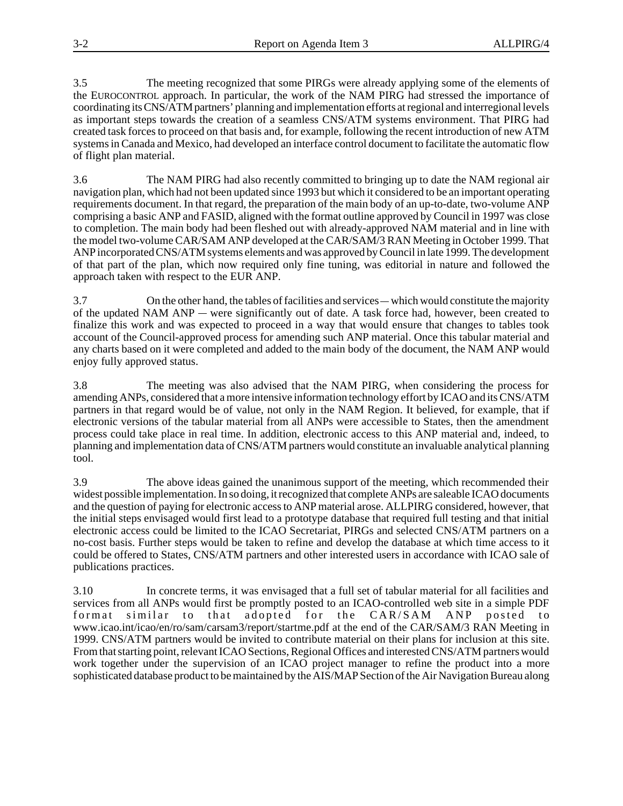3.5 The meeting recognized that some PIRGs were already applying some of the elements of the EUROCONTROL approach. In particular, the work of the NAM PIRG had stressed the importance of coordinating its CNS/ATM partners' planning and implementation efforts at regional and interregional levels as important steps towards the creation of a seamless CNS/ATM systems environment. That PIRG had created task forces to proceed on that basis and, for example, following the recent introduction of new ATM systems in Canada and Mexico, had developed an interface control document to facilitate the automatic flow of flight plan material.

3.6 The NAM PIRG had also recently committed to bringing up to date the NAM regional air navigation plan, which had not been updated since 1993 but which it considered to be an important operating requirements document. In that regard, the preparation of the main body of an up-to-date, two-volume ANP comprising a basic ANP and FASID, aligned with the format outline approved by Council in 1997 was close to completion. The main body had been fleshed out with already-approved NAM material and in line with the model two-volume CAR/SAM ANP developed at the CAR/SAM/3 RAN Meeting in October 1999. That ANP incorporated CNS/ATM systems elements and was approved by Council in late 1999. The development of that part of the plan, which now required only fine tuning, was editorial in nature and followed the approach taken with respect to the EUR ANP. of that part of the plan, which now required only fine tuning, was editorial in nature and followed the approach taken with respect to the EUR ANP.<br>3.7 On the other hand, the tables of facilities and services — which would

approach taken with respect to the EUR ANP.<br>3.7 Compute the updated NAM ANP — were significantly out of date. A task force had, however, been created to finalize this work and was expected to proceed in a way that would ensure that changes to tables took account of the Council-approved process for amending such ANP material. Once this tabular material and any charts based on it were completed and added to the main body of the document, the NAM ANP would enjoy fully approved status.

3.8 The meeting was also advised that the NAM PIRG, when considering the process for amending ANPs, considered that a more intensive information technology effort by ICAO and its CNS/ATM partners in that regard would be of value, not only in the NAM Region. It believed, for example, that if electronic versions of the tabular material from all ANPs were accessible to States, then the amendment process could take place in real time. In addition, electronic access to this ANP material and, indeed, to planning and implementation data of CNS/ATM partners would constitute an invaluable analytical planning tool.

3.9 The above ideas gained the unanimous support of the meeting, which recommended their widest possible implementation. In so doing, it recognized that complete ANPs are saleable ICAO documents and the question of paying for electronic access to ANP material arose. ALLPIRG considered, however, that the initial steps envisaged would first lead to a prototype database that required full testing and that initial electronic access could be limited to the ICAO Secretariat, PIRGs and selected CNS/ATM partners on a no-cost basis. Further steps would be taken to refine and develop the database at which time access to it could be offered to States, CNS/ATM partners and other interested users in accordance with ICAO sale of publications practices.

3.10 In concrete terms, it was envisaged that a full set of tabular material for all facilities and services from all ANPs would first be promptly posted to an ICAO-controlled web site in a simple PDF format similar to that adopted for the CAR/SAM ANP posted to www.icao.int/icao/en/ro/sam/carsam3/report/startme.pdf at the end of the CAR/SAM/3 RAN Meeting in 1999. CNS/ATM partners would be invited to contribute material on their plans for inclusion at this site. From that starting point, relevant ICAO Sections, Regional Offices and interested CNS/ATM partners would work together under the supervision of an ICAO project manager to refine the product into a more sophisticated database product to be maintained by the AIS/MAP Section of the Air Navigation Bureau along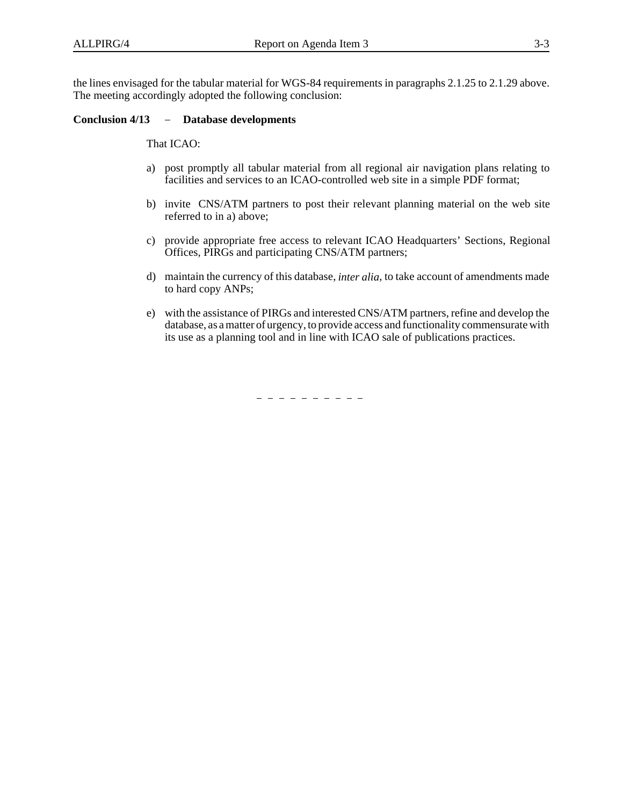the lines envisaged for the tabular material for WGS-84 requirements in paragraphs 2.1.25 to 2.1.29 above. The meeting accordingly adopted the following conclusion: the lines envisaged for the tabular material for WC<br>The meeting accordingly adopted the following c<br>**Conclusion 4/13** - **Database developments** 

That ICAO:

- a) post promptly all tabular material from all regional air navigation plans relating to facilities and services to an ICAO-controlled web site in a simple PDF format;
- b) invite CNS/ATM partners to post their relevant planning material on the web site referred to in a) above;
- c) provide appropriate free access to relevant ICAO Headquarters' Sections, Regional Offices, PIRGs and participating CNS/ATM partners;
- d) maintain the currency of this database, *inter alia*, to take account of amendments made to hard copy ANPs;
- e) with the assistance of PIRGs and interested CNS/ATM partners, refine and develop the database, as a matter of urgency, to provide access and functionality commensurate with its use as a planning tool and in line with ICAO sale of publications practices.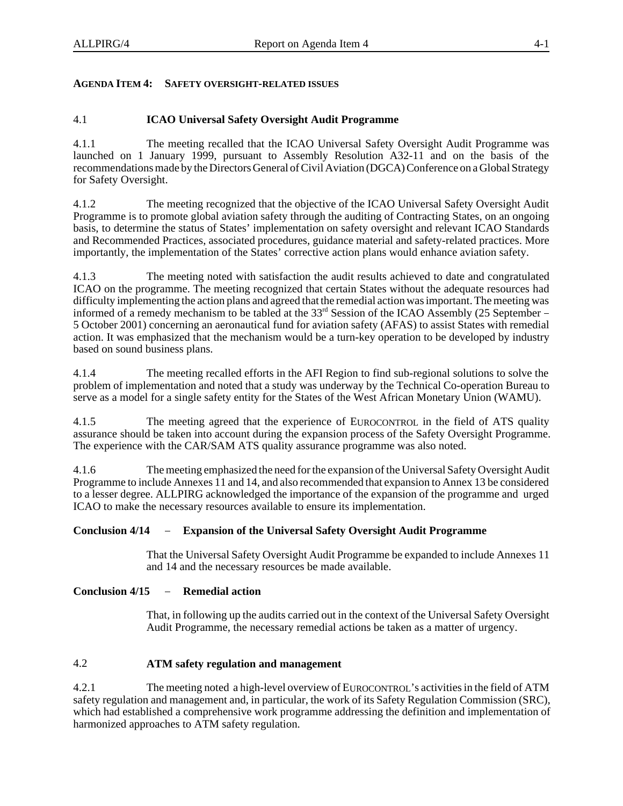### **AGENDA ITEM 4: SAFETY OVERSIGHT-RELATED ISSUES**

### 4.1 **ICAO Universal Safety Oversight Audit Programme**

4.1.1 The meeting recalled that the ICAO Universal Safety Oversight Audit Programme was launched on 1 January 1999, pursuant to Assembly Resolution A32-11 and on the basis of the recommendations made by the Directors General of Civil Aviation (DGCA) Conference on a Global Strategy for Safety Oversight.

4.1.2 The meeting recognized that the objective of the ICAO Universal Safety Oversight Audit Programme is to promote global aviation safety through the auditing of Contracting States, on an ongoing basis, to determine the status of States' implementation on safety oversight and relevant ICAO Standards and Recommended Practices, associated procedures, guidance material and safety-related practices. More importantly, the implementation of the States' corrective action plans would enhance aviation safety.

4.1.3 The meeting noted with satisfaction the audit results achieved to date and congratulated ICAO on the programme. The meeting recognized that certain States without the adequate resources had difficulty implementing the action plans and agreed that the remedial action was important. The meeting was informed of a remedy mechanism to be tabled at the 33<sup>rd</sup> Session of the ICAO Assembly (25 September – 5 October 2001) concerning an aeronautical fund for aviation safety (AFAS) to assist States with remedial action. It was emphasized that the mechanism would be a turn-key operation to be developed by industry based on sound business plans.

4.1.4 The meeting recalled efforts in the AFI Region to find sub-regional solutions to solve the problem of implementation and noted that a study was underway by the Technical Co-operation Bureau to serve as a model for a single safety entity for the States of the West African Monetary Union (WAMU).

4.1.5 The meeting agreed that the experience of EUROCONTROL in the field of ATS quality assurance should be taken into account during the expansion process of the Safety Oversight Programme. The experience with the CAR/SAM ATS quality assurance programme was also noted.

4.1.6 The meeting emphasized the need for the expansion of the Universal Safety Oversight Audit Programme to include Annexes 11 and 14, and also recommended that expansion to Annex 13 be considered to a lesser degree. ALLPIRG acknowledged the importance of the expansion of the programme and urged ICAO to make the necessary resources available to ensure its implementation.

### **Conclusion 4/14 Expansion of the Universal Safety Oversight Audit Programme**

That the Universal Safety Oversight Audit Programme be expanded to include Annexes 11 and 14 and the necessary resources be made available. That the Universal Safety<br>and 14 and the necessary<br>**Conclusion 4/15** - Remedial action

That, in following up the audits carried out in the context of the Universal Safety Oversight Audit Programme, the necessary remedial actions be taken as a matter of urgency.

### 4.2 **ATM safety regulation and management**

4.2.1 The meeting noted a high-level overview of EUROCONTROL's activities in the field of ATM safety regulation and management and, in particular, the work of its Safety Regulation Commission (SRC), which had established a comprehensive work programme addressing the definition and implementation of harmonized approaches to ATM safety regulation.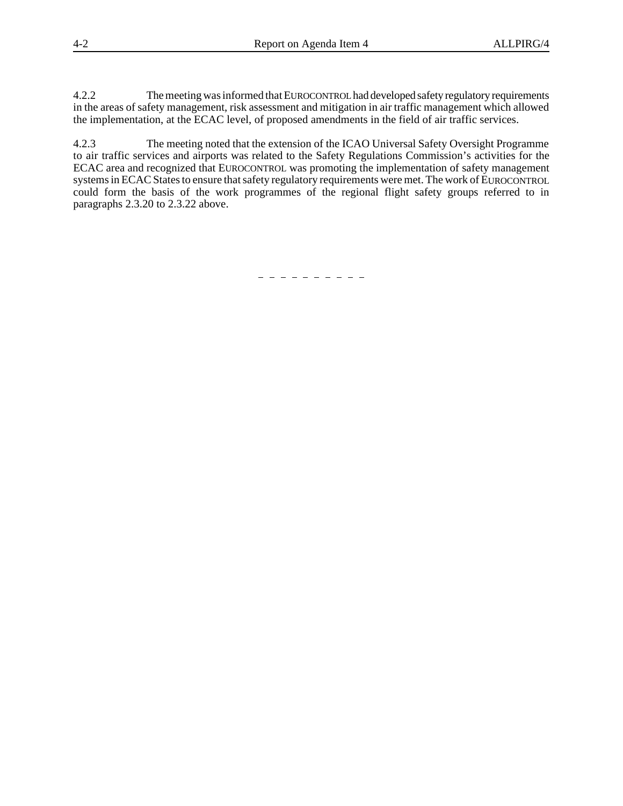4.2.2 The meeting was informed that EUROCONTROL had developed safety regulatory requirements in the areas of safety management, risk assessment and mitigation in air traffic management which allowed the implementation, at the ECAC level, of proposed amendments in the field of air traffic services.

4.2.3 The meeting noted that the extension of the ICAO Universal Safety Oversight Programme to air traffic services and airports was related to the Safety Regulations Commission's activities for the ECAC area and recognized that EUROCONTROL was promoting the implementation of safety management systems in ECAC States to ensure that safety regulatory requirements were met. The work of EUROCONTROL could form the basis of the work programmes of the regional flight safety groups referred to in paragraphs 2.3.20 to 2.3.22 above.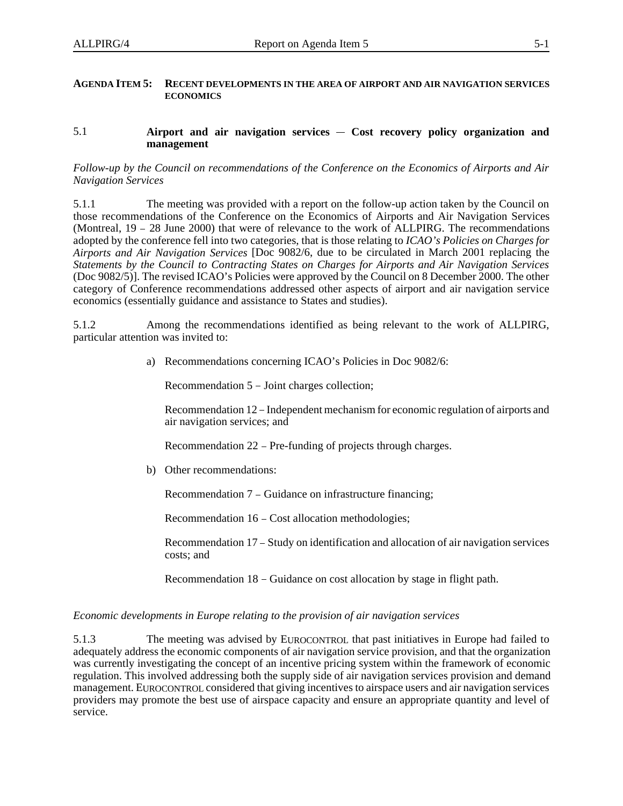### **AGENDA ITEM 5: RECENT DEVELOPMENTS IN THE AREA OF AIRPORT AND AIR NAVIGATION SERVICES ECONOMICS**

## ECONOMICS<br>5.1 **Airport and air navigation services — Cost recovery policy organization and management**

### *Follow-up by the Council on recommendations of the Conference on the Economics of Airports and Air Navigation Services*

5.1.1 The meeting was provided with a report on the follow-up action taken by the Council on those recommendations of the Conference on the Economics of Airports and Air Navigation Services 5.1.1 The meeting was provided with a report on the follow-up action taken by the Council on those recommendations of the Conference on the Economics of Airports and Air Navigation Services (Montreal, 19 – 28 June 2000) th adopted by the conference fell into two categories, that is those relating to *ICAO's Policies on Charges for Airports and Air Navigation Services* [Doc 9082/6, due to be circulated in March 2001 replacing the *Statements by the Council to Contracting States on Charges for Airports and Air Navigation Services* (Doc 9082/5)]. The revised ICAO's Policies were approved by the Council on 8 December 2000. The other category of Conference recommendations addressed other aspects of airport and air navigation service economics (essentially guidance and assistance to States and studies).

5.1.2 Among the recommendations identified as being relevant to the work of ALLPIRG, particular attention was invited to:

a) Recommendations concerning ICAO's Policies in Doc 9082/6:

Recommendation 5 - Joint charges collection;

Recommendation 12 – Independent mechanism for economic regulation of airports and air navigation services; and

Recommendation 22 - Pre-funding of projects through charges.

b) Other recommendations:

Other recommendations:<br>Recommendation 7 – Guidance on infrastructure financing; Recommendation 7 – Guidance on infrastructure finan<br>Recommendation 16 – Cost allocation methodologies;

Recommendation 16 – Cost allocation methodologies;<br>Recommendation 17 – Study on identification and allocation of air navigation services costs; and

Recommendation 18 – Guidance on cost allocation by stage in flight path.

### *Economic developments in Europe relating to the provision of air navigation services*

5.1.3 The meeting was advised by EUROCONTROL that past initiatives in Europe had failed to adequately address the economic components of air navigation service provision, and that the organization was currently investigating the concept of an incentive pricing system within the framework of economic regulation. This involved addressing both the supply side of air navigation services provision and demand management. EUROCONTROL considered that giving incentives to airspace users and air navigation services providers may promote the best use of airspace capacity and ensure an appropriate quantity and level of service.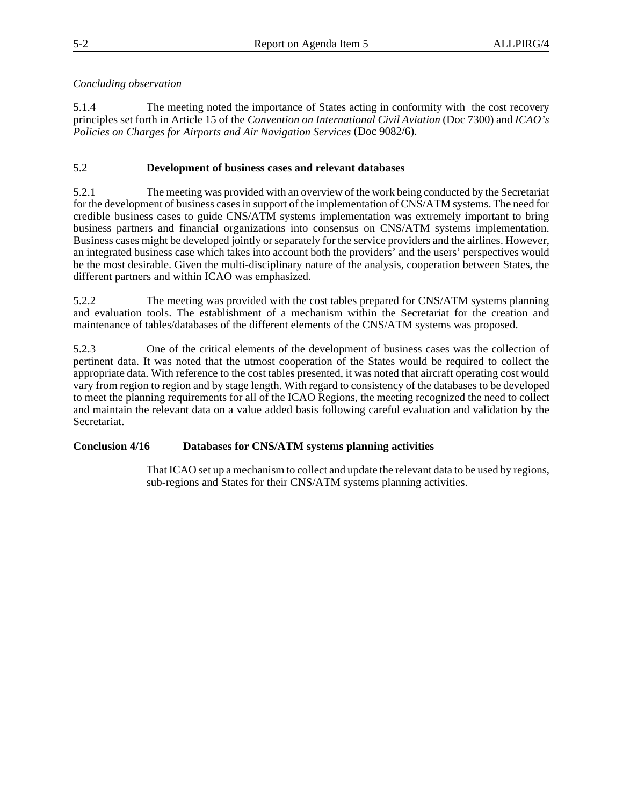### *Concluding observation*

5.1.4 The meeting noted the importance of States acting in conformity with the cost recovery principles set forth in Article 15 of the *Convention on International Civil Aviation* (Doc 7300) and *ICAO's Policies on Charges for Airports and Air Navigation Services* (Doc 9082/6).

### 5.2 **Development of business cases and relevant databases**

5.2.1 The meeting was provided with an overview of the work being conducted by the Secretariat for the development of business cases in support of the implementation of CNS/ATM systems. The need for credible business cases to guide CNS/ATM systems implementation was extremely important to bring business partners and financial organizations into consensus on CNS/ATM systems implementation. Business cases might be developed jointly or separately for the service providers and the airlines. However, an integrated business case which takes into account both the providers' and the users' perspectives would be the most desirable. Given the multi-disciplinary nature of the analysis, cooperation between States, the different partners and within ICAO was emphasized.

5.2.2 The meeting was provided with the cost tables prepared for CNS/ATM systems planning and evaluation tools. The establishment of a mechanism within the Secretariat for the creation and maintenance of tables/databases of the different elements of the CNS/ATM systems was proposed.

5.2.3 One of the critical elements of the development of business cases was the collection of pertinent data. It was noted that the utmost cooperation of the States would be required to collect the appropriate data. With reference to the cost tables presented, it was noted that aircraft operating cost would vary from region to region and by stage length. With regard to consistency of the databases to be developed to meet the planning requirements for all of the ICAO Regions, the meeting recognized the need to collect and maintain the relevant data on a value added basis following careful evaluation and validation by the Secretariat.

### **Conclusion 4/16 Databases for CNS/ATM systems planning activities**

That ICAO set up a mechanism to collect and update the relevant data to be used by regions, sub-regions and States for their CNS/ATM systems planning activities.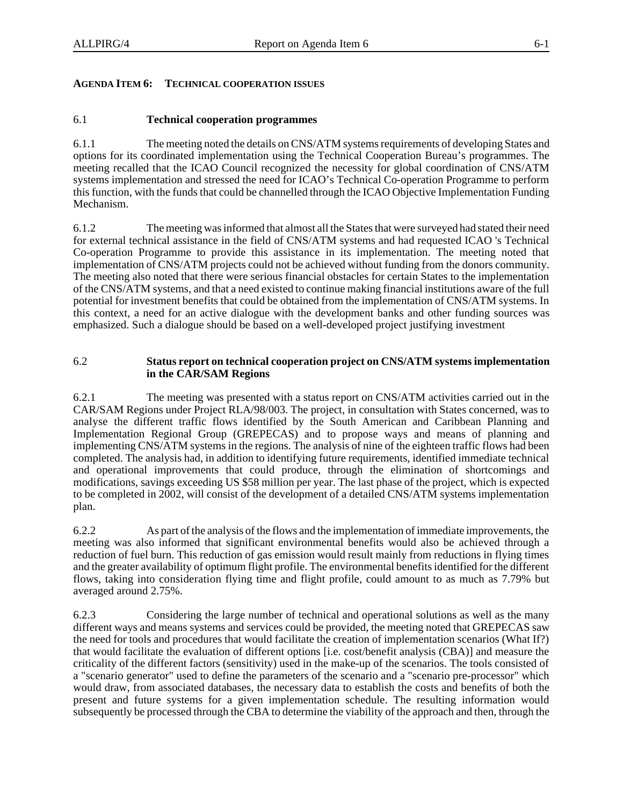### **AGENDA ITEM 6: TECHNICAL COOPERATION ISSUES**

### 6.1 **Technical cooperation programmes**

6.1.1 The meeting noted the details on CNS/ATM systems requirements of developing States and options for its coordinated implementation using the Technical Cooperation Bureau's programmes. The meeting recalled that the ICAO Council recognized the necessity for global coordination of CNS/ATM systems implementation and stressed the need for ICAO's Technical Co-operation Programme to perform this function, with the funds that could be channelled through the ICAO Objective Implementation Funding Mechanism.

6.1.2 The meeting was informed that almost all the States that were surveyed had stated their need for external technical assistance in the field of CNS/ATM systems and had requested ICAO 's Technical Co-operation Programme to provide this assistance in its implementation. The meeting noted that implementation of CNS/ATM projects could not be achieved without funding from the donors community. The meeting also noted that there were serious financial obstacles for certain States to the implementation of the CNS/ATM systems, and that a need existed to continue making financial institutions aware of the full potential for investment benefits that could be obtained from the implementation of CNS/ATM systems. In this context, a need for an active dialogue with the development banks and other funding sources was emphasized. Such a dialogue should be based on a well-developed project justifying investment

### 6.2 **Status report on technical cooperation project on CNS/ATM systems implementation in the CAR/SAM Regions**

6.2.1 The meeting was presented with a status report on CNS/ATM activities carried out in the CAR/SAM Regions under Project RLA/98/003. The project, in consultation with States concerned, was to analyse the different traffic flows identified by the South American and Caribbean Planning and Implementation Regional Group (GREPECAS) and to propose ways and means of planning and implementing CNS/ATM systems in the regions. The analysis of nine of the eighteen traffic flows had been completed. The analysis had, in addition to identifying future requirements, identified immediate technical and operational improvements that could produce, through the elimination of shortcomings and modifications, savings exceeding US \$58 million per year. The last phase of the project, which is expected to be completed in 2002, will consist of the development of a detailed CNS/ATM systems implementation plan.

6.2.2 As part of the analysis of the flows and the implementation of immediate improvements, the meeting was also informed that significant environmental benefits would also be achieved through a reduction of fuel burn. This reduction of gas emission would result mainly from reductions in flying times and the greater availability of optimum flight profile. The environmental benefits identified for the different flows, taking into consideration flying time and flight profile, could amount to as much as 7.79% but averaged around 2.75%.

6.2.3 Considering the large number of technical and operational solutions as well as the many different ways and means systems and services could be provided, the meeting noted that GREPECAS saw the need for tools and procedures that would facilitate the creation of implementation scenarios (What If?) that would facilitate the evaluation of different options [i.e. cost/benefit analysis (CBA)] and measure the criticality of the different factors (sensitivity) used in the make-up of the scenarios. The tools consisted of a "scenario generator" used to define the parameters of the scenario and a "scenario pre-processor" which would draw, from associated databases, the necessary data to establish the costs and benefits of both the present and future systems for a given implementation schedule. The resulting information would subsequently be processed through the CBA to determine the viability of the approach and then, through the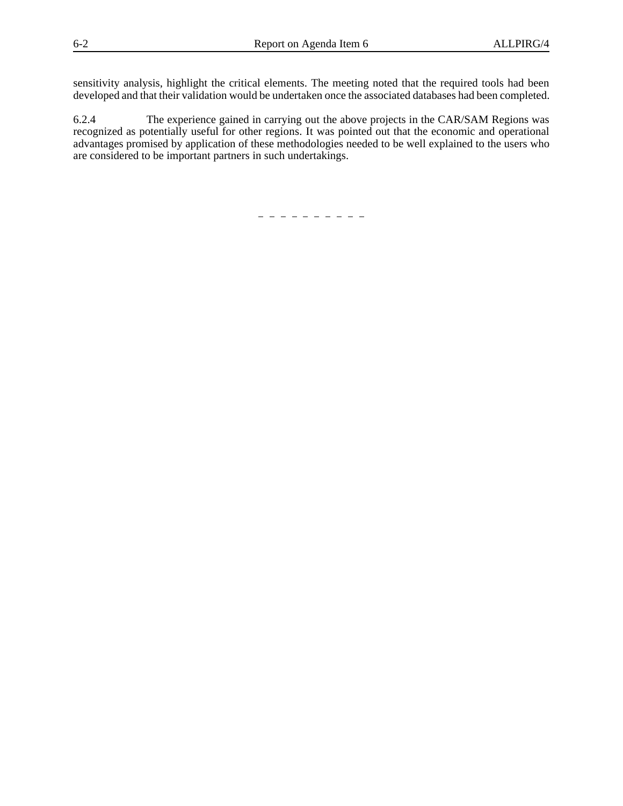sensitivity analysis, highlight the critical elements. The meeting noted that the required tools had been developed and that their validation would be undertaken once the associated databases had been completed.

6.2.4 The experience gained in carrying out the above projects in the CAR/SAM Regions was recognized as potentially useful for other regions. It was pointed out that the economic and operational advantages promised by application of these methodologies needed to be well explained to the users who are considered to be important partners in such undertakings.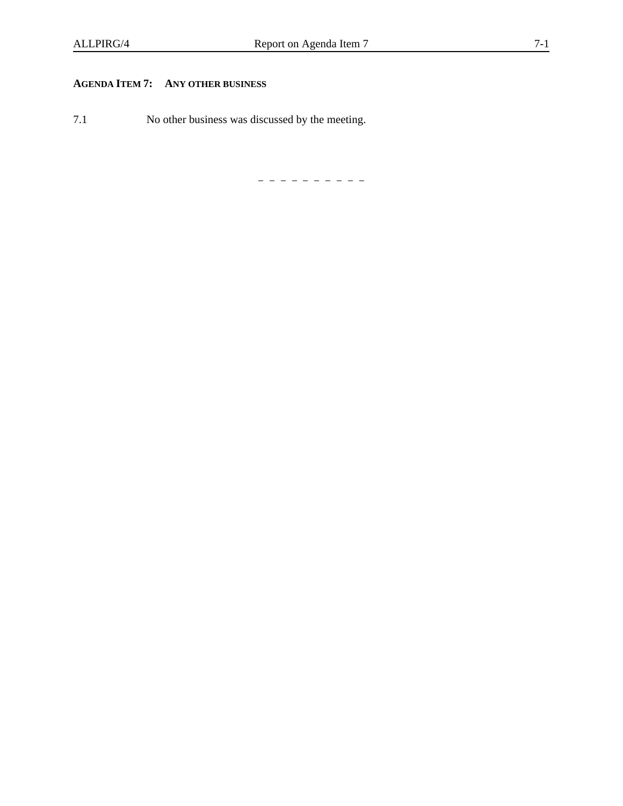### **AGENDA ITEM 7: ANY OTHER BUSINESS**

7.1 No other business was discussed by the meeting.

---------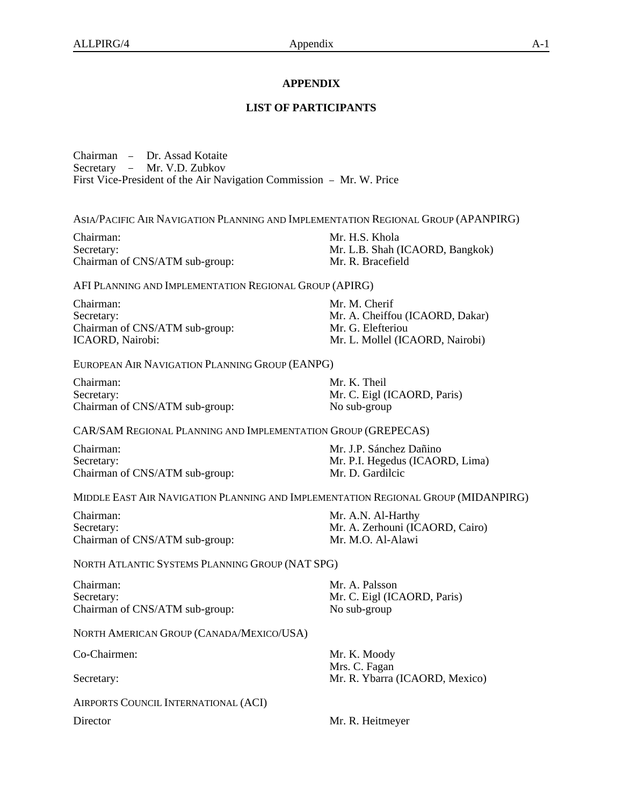### **APPENDIX**

### **LIST OF PARTICIPANTS**

Chairman - Dr. Assad Kotaite Secretary - Mr. V.D. Zubkov First Vice-President of the Air Navigation Commission - Mr. W. Price

ASIA/PACIFIC AIR NAVIGATION PLANNING AND IMPLEMENTATION REGIONAL GROUP (APANPIRG)

Chairman: Mr. H.S. Khola Secretary: Mr. L.B. Shah (ICAORD, Bangkok) Chairman of CNS/ATM sub-group: Mr. R. Bracefield

AFI PLANNING AND IMPLEMENTATION REGIONAL GROUP (APIRG)

Chairman: Mr. M. Cherif Secretary: Mr. A. Cheiffou (ICAORD, Dakar) Chairman of CNS/ATM sub-group: Mr. G. Elefteriou ICAORD, Nairobi: Mr. L. Mollel (ICAORD, Nairobi)

EUROPEAN AIR NAVIGATION PLANNING GROUP (EANPG)

Chairman: Mr. K. Theil Secretary: Mr. C. Eigl (ICAORD, Paris) Chairman of CNS/ATM sub-group: No sub-group

CAR/SAM REGIONAL PLANNING AND IMPLEMENTATION GROUP (GREPECAS)

Chairman: Mr. J.P. Sánchez Dañino Secretary: Mr. P.I. Hegedus (ICAORD, Lima) Chairman of CNS/ATM sub-group: Mr. D. Gardilcic

MIDDLE EAST AIR NAVIGATION PLANNING AND IMPLEMENTATION REGIONAL GROUP (MIDANPIRG)

Chairman: Mr. A.N. Al-Harthy Secretary: Mr. A. Zerhouni (ICAORD, Cairo) Chairman of CNS/ATM sub-group: Mr. M.O. Al-Alawi

NORTH ATLANTIC SYSTEMS PLANNING GROUP (NAT SPG)

Chairman: Mr. A. Palsson Secretary: Mr. C. Eigl (ICAORD, Paris) Chairman of CNS/ATM sub-group: No sub-group

NORTH AMERICAN GROUP (CANADA/MEXICO/USA)

AIRPORTS COUNCIL INTERNATIONAL (ACI)

Co-Chairmen: Mr. K. Moody Mrs. C. Fagan Secretary: Mr. R. Ybarra (ICAORD, Mexico)

Director Mr. R. Heitmeyer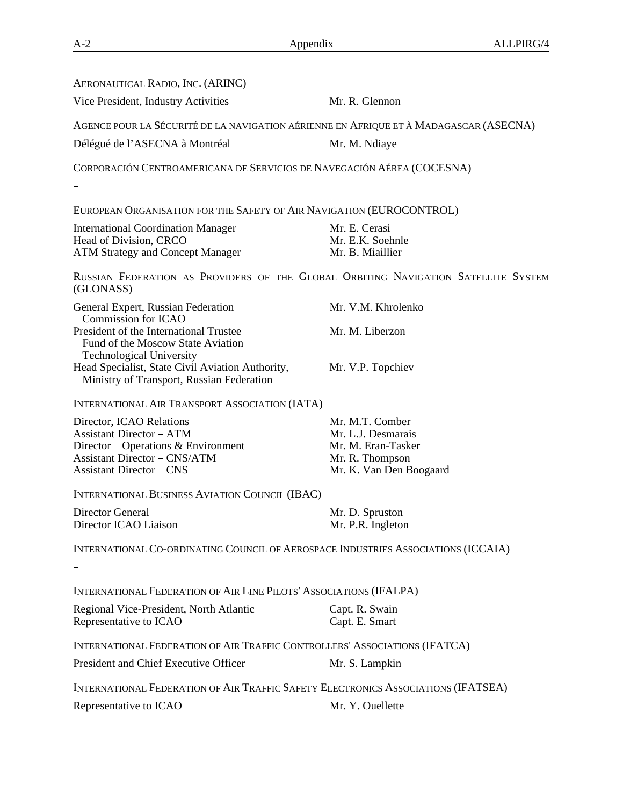| AERONAUTICAL RADIO, INC. (ARINC)                                                                               |                                                                                    |
|----------------------------------------------------------------------------------------------------------------|------------------------------------------------------------------------------------|
| Vice President, Industry Activities                                                                            | Mr. R. Glennon                                                                     |
| AGENCE POUR LA SÉCURITÉ DE LA NAVIGATION AÉRIENNE EN AFRIQUE ET À MADAGASCAR (ASECNA)                          |                                                                                    |
| Délégué de l'ASECNA à Montréal                                                                                 | Mr. M. Ndiaye                                                                      |
| CORPORACIÓN CENTROAMERICANA DE SERVICIOS DE NAVEGACIÓN AÉREA (COCESNA)                                         |                                                                                    |
|                                                                                                                |                                                                                    |
| EUROPEAN ORGANISATION FOR THE SAFETY OF AIR NAVIGATION (EUROCONTROL)                                           |                                                                                    |
| <b>International Coordination Manager</b>                                                                      | Mr. E. Cerasi                                                                      |
| Head of Division, CRCO                                                                                         | Mr. E.K. Soehnle                                                                   |
| <b>ATM Strategy and Concept Manager</b>                                                                        | Mr. B. Miaillier                                                                   |
| (GLONASS)                                                                                                      | RUSSIAN FEDERATION AS PROVIDERS OF THE GLOBAL ORBITING NAVIGATION SATELLITE SYSTEM |
| General Expert, Russian Federation<br><b>Commission for ICAO</b>                                               | Mr. V.M. Khrolenko                                                                 |
| President of the International Trustee<br>Fund of the Moscow State Aviation<br><b>Technological University</b> | Mr. M. Liberzon                                                                    |
| Head Specialist, State Civil Aviation Authority,<br>Ministry of Transport, Russian Federation                  | Mr. V.P. Topchiev                                                                  |
| INTERNATIONAL AIR TRANSPORT ASSOCIATION (IATA)                                                                 |                                                                                    |
| Director, ICAO Relations                                                                                       | Mr. M.T. Comber                                                                    |
| <b>Assistant Director - ATM</b>                                                                                | Mr. L.J. Desmarais                                                                 |
| Director - Operations & Environment                                                                            | Mr. M. Eran-Tasker                                                                 |
| <b>Assistant Director - CNS/ATM</b><br><b>Assistant Director - CNS</b>                                         | Mr. R. Thompson<br>Mr. K. Van Den Boogaard                                         |
|                                                                                                                |                                                                                    |
| INTERNATIONAL BUSINESS AVIATION COUNCIL (IBAC)                                                                 |                                                                                    |
| <b>Director General</b><br>Director ICAO Liaison                                                               | Mr. D. Spruston<br>Mr. P.R. Ingleton                                               |
|                                                                                                                |                                                                                    |
| INTERNATIONAL CO-ORDINATING COUNCIL OF AEROSPACE INDUSTRIES ASSOCIATIONS (ICCAIA)                              |                                                                                    |
|                                                                                                                |                                                                                    |
| INTERNATIONAL FEDERATION OF AIR LINE PILOTS' ASSOCIATIONS (IFALPA)                                             |                                                                                    |
| Regional Vice-President, North Atlantic<br>Representative to ICAO                                              | Capt. R. Swain<br>Capt. E. Smart                                                   |
| INTERNATIONAL FEDERATION OF AIR TRAFFIC CONTROLLERS' ASSOCIATIONS (IFATCA)                                     |                                                                                    |
| President and Chief Executive Officer                                                                          | Mr. S. Lampkin                                                                     |
| INTERNATIONAL FEDERATION OF AIR TRAFFIC SAFETY ELECTRONICS ASSOCIATIONS (IFATSEA)                              |                                                                                    |
| Representative to ICAO                                                                                         | Mr. Y. Ouellette                                                                   |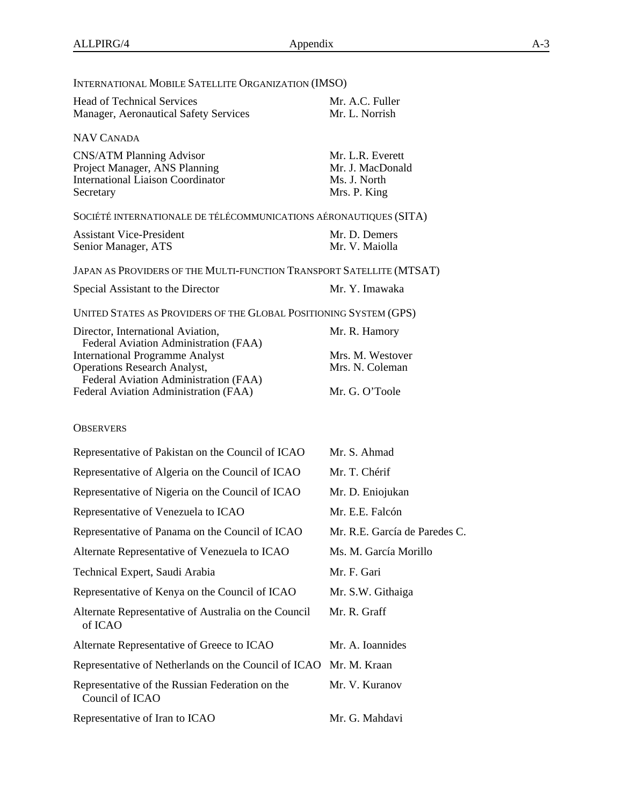| INTERNATIONAL MOBILE SATELLITE ORGANIZATION (IMSO)                                                                                                                                                                                            |                                                                        |  |  |
|-----------------------------------------------------------------------------------------------------------------------------------------------------------------------------------------------------------------------------------------------|------------------------------------------------------------------------|--|--|
| <b>Head of Technical Services</b><br>Manager, Aeronautical Safety Services                                                                                                                                                                    | Mr. A.C. Fuller<br>Mr. L. Norrish                                      |  |  |
| NAV CANADA                                                                                                                                                                                                                                    |                                                                        |  |  |
| <b>CNS/ATM Planning Advisor</b><br>Project Manager, ANS Planning<br><b>International Liaison Coordinator</b><br>Secretary                                                                                                                     | Mr. L.R. Everett<br>Mr. J. MacDonald<br>Ms. J. North<br>Mrs. P. King   |  |  |
| SOCIÉTÉ INTERNATIONALE DE TÉLÉCOMMUNICATIONS AÉRONAUTIQUES (SITA)                                                                                                                                                                             |                                                                        |  |  |
| <b>Assistant Vice-President</b><br>Senior Manager, ATS                                                                                                                                                                                        | Mr. D. Demers<br>Mr. V. Maiolla                                        |  |  |
| JAPAN AS PROVIDERS OF THE MULTI-FUNCTION TRANSPORT SATELLITE (MTSAT)                                                                                                                                                                          |                                                                        |  |  |
| Special Assistant to the Director                                                                                                                                                                                                             | Mr. Y. Imawaka                                                         |  |  |
| UNITED STATES AS PROVIDERS OF THE GLOBAL POSITIONING SYSTEM (GPS)                                                                                                                                                                             |                                                                        |  |  |
| Director, International Aviation,<br>Federal Aviation Administration (FAA)<br><b>International Programme Analyst</b><br><b>Operations Research Analyst,</b><br>Federal Aviation Administration (FAA)<br>Federal Aviation Administration (FAA) | Mr. R. Hamory<br>Mrs. M. Westover<br>Mrs. N. Coleman<br>Mr. G. O'Toole |  |  |
| <b>OBSERVERS</b>                                                                                                                                                                                                                              |                                                                        |  |  |
| Representative of Pakistan on the Council of ICAO                                                                                                                                                                                             | Mr. S. Ahmad                                                           |  |  |
| Representative of Algeria on the Council of ICAO                                                                                                                                                                                              | Mr. T. Chérif                                                          |  |  |
| Representative of Nigeria on the Council of ICAO                                                                                                                                                                                              | Mr. D. Eniojukan                                                       |  |  |
| Representative of Venezuela to ICAO                                                                                                                                                                                                           | Mr. E.E. Falcón                                                        |  |  |
| Representative of Panama on the Council of ICAO                                                                                                                                                                                               | Mr. R.E. García de Paredes C.                                          |  |  |
| Alternate Representative of Venezuela to ICAO                                                                                                                                                                                                 | Ms. M. García Morillo                                                  |  |  |
| Technical Expert, Saudi Arabia                                                                                                                                                                                                                | Mr. F. Gari                                                            |  |  |
| Representative of Kenya on the Council of ICAO                                                                                                                                                                                                | Mr. S.W. Githaiga                                                      |  |  |
| Alternate Representative of Australia on the Council<br>of ICAO                                                                                                                                                                               | Mr. R. Graff                                                           |  |  |
| Alternate Representative of Greece to ICAO                                                                                                                                                                                                    | Mr. A. Ioannides                                                       |  |  |
| Representative of Netherlands on the Council of ICAO                                                                                                                                                                                          | Mr. M. Kraan                                                           |  |  |
| Representative of the Russian Federation on the<br>Council of ICAO                                                                                                                                                                            | Mr. V. Kuranov                                                         |  |  |

Representative of Iran to ICAO Mr. G. Mahdavi